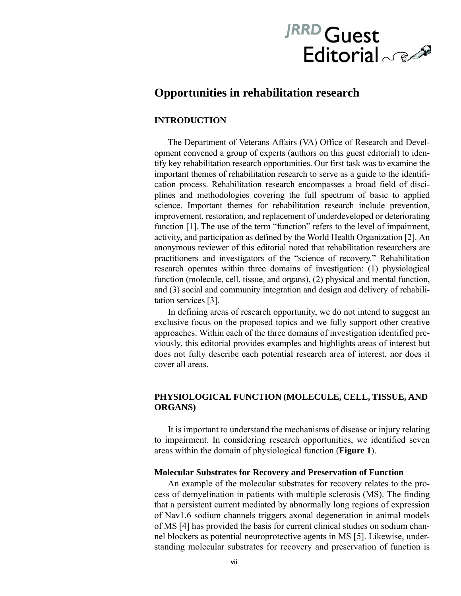# JRRD Guest Editorial 6

# **Opportunities in rehabilitation research**

## **INTRODUCTION**

The Department of Veterans Affairs (VA) Office of Research and Development convened a group of experts (authors on this guest editorial) to identify key rehabilitation research opportunities. Our first task was to examine the important themes of rehabilitation research to serve as a guide to the identification process. Rehabilitation research encompasses a broad field of disciplines and methodologies covering the full spectrum of basic to applied science. Important themes for rehabilitation research include prevention, improvement, restoration, and replacement of underdeveloped or deteriorating function [1]. The use of the term "function" refers to the level of impairment, activity, and participation as defined by the World Health Organization [2]. An anonymous reviewer of this editorial noted that rehabilitation researchers are practitioners and investigators of the "science of recovery." Rehabilitation research operates within three domains of investigation: (1) physiological function (molecule, cell, tissue, and organs), (2) physical and mental function, and (3) social and community integration and design and delivery of rehabilitation services [3].

In defining areas of research opportunity, we do not intend to suggest an exclusive focus on the proposed topics and we fully support other creative approaches. Within each of the three domains of investigation identified previously, this editorial provides examples and highlights areas of interest but does not fully describe each potential research area of interest, nor does it cover all areas.

# **PHYSIOLOGICAL FUNCTION (MOLECULE, CELL, TISSUE, AND ORGANS)**

It is important to understand the mechanisms of disease or injury relating to impairment. In considering research opportunities, we identified seven areas within the domain of physiological function (**Figure 1**).

#### **Molecular Substrates for Recovery and Preservation of Function**

An example of the molecular substrates for recovery relates to the process of demyelination in patients with multiple sclerosis (MS). The finding that a persistent current mediated by abnormally long regions of expression of Nav1.6 sodium channels triggers axonal degeneration in animal models of MS [4] has provided the basis for current clinical studies on sodium channel blockers as potential neuroprotective agents in MS [5]. Likewise, understanding molecular substrates for recovery and preservation of function is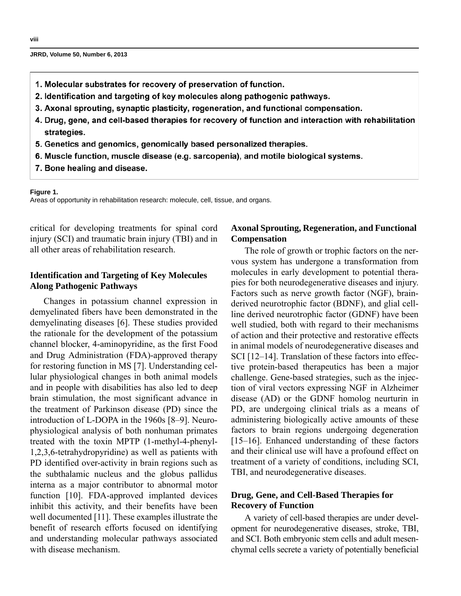- 1. Molecular substrates for recovery of preservation of function.
- 2. Identification and targeting of key molecules along pathogenic pathways.
- 3. Axonal sprouting, synaptic plasticity, regeneration, and functional compensation.
- 4. Drug, gene, and cell-based therapies for recovery of function and interaction with rehabilitation strategies.
- 5. Genetics and genomics, genomically based personalized therapies.
- 6. Muscle function, muscle disease (e.g. sarcopenia), and motile biological systems.
- 7. Bone healing and disease.

#### **Figure 1.**

Areas of opportunity in rehabilitation research: molecule, cell, tissue, and organs.

critical for developing treatments for spinal cord injury (SCI) and traumatic brain injury (TBI) and in all other areas of rehabilitation research.

# **Identification and Targeting of Key Molecules Along Pathogenic Pathways**

Changes in potassium channel expression in demyelinated fibers have been demonstrated in the demyelinating diseases [6]. These studies provided the rationale for the development of the potassium channel blocker, 4-aminopyridine, as the first Food and Drug Administration (FDA)-approved therapy for restoring function in MS [7]. Understanding cellular physiological changes in both animal models and in people with disabilities has also led to deep brain stimulation, the most significant advance in the treatment of Parkinson disease (PD) since the introduction of L-DOPA in the 1960s [8–9]. Neurophysiological analysis of both nonhuman primates treated with the toxin MPTP (1-methyl-4-phenyl-1,2,3,6-tetrahydropyridine) as well as patients with PD identified over-activity in brain regions such as the subthalamic nucleus and the globus pallidus interna as a major contributor to abnormal motor function [10]. FDA-approved implanted devices inhibit this activity, and their benefits have been well documented [11]. These examples illustrate the benefit of research efforts focused on identifying and understanding molecular pathways associated with disease mechanism.

# **Axonal Sprouting, Regeneration, and Functional Compensation**

The role of growth or trophic factors on the nervous system has undergone a transformation from molecules in early development to potential therapies for both neurodegenerative diseases and injury. Factors such as nerve growth factor (NGF), brainderived neurotrophic factor (BDNF), and glial cellline derived neurotrophic factor (GDNF) have been well studied, both with regard to their mechanisms of action and their protective and restorative effects in animal models of neurodegenerative diseases and SCI [12–14]. Translation of these factors into effective protein-based therapeutics has been a major challenge. Gene-based strategies, such as the injection of viral vectors expressing NGF in Alzheimer disease (AD) or the GDNF homolog neurturin in PD, are undergoing clinical trials as a means of administering biologically active amounts of these factors to brain regions undergoing degeneration [15–16]. Enhanced understanding of these factors and their clinical use will have a profound effect on treatment of a variety of conditions, including SCI, TBI, and neurodegenerative diseases.

## **Drug, Gene, and Cell-Based Therapies for Recovery of Function**

A variety of cell-based therapies are under development for neurodegenerative diseases, stroke, TBI, and SCI. Both embryonic stem cells and adult mesenchymal cells secrete a variety of potentially beneficial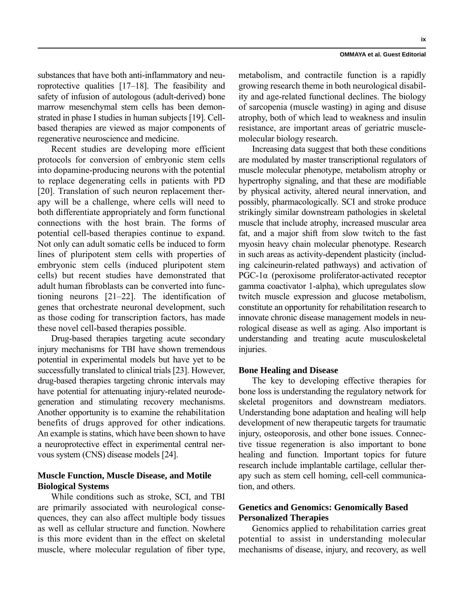substances that have both anti-inflammatory and neuroprotective qualities [17–18]. The feasibility and safety of infusion of autologous (adult-derived) bone marrow mesenchymal stem cells has been demonstrated in phase I studies in human subjects [19]. Cellbased therapies are viewed as major components of regenerative neuroscience and medicine.

Recent studies are developing more efficient protocols for conversion of embryonic stem cells into dopamine-producing neurons with the potential to replace degenerating cells in patients with PD [20]. Translation of such neuron replacement therapy will be a challenge, where cells will need to both differentiate appropriately and form functional connections with the host brain. The forms of potential cell-based therapies continue to expand. Not only can adult somatic cells be induced to form lines of pluripotent stem cells with properties of embryonic stem cells (induced pluripotent stem cells) but recent studies have demonstrated that adult human fibroblasts can be converted into functioning neurons [21–22]. The identification of genes that orchestrate neuronal development, such as those coding for transcription factors, has made these novel cell-based therapies possible.

Drug-based therapies targeting acute secondary injury mechanisms for TBI have shown tremendous potential in experimental models but have yet to be successfully translated to clinical trials [23]. However, drug-based therapies targeting chronic intervals may have potential for attenuating injury-related neurodegeneration and stimulating recovery mechanisms. Another opportunity is to examine the rehabilitation benefits of drugs approved for other indications. An example is statins, which have been shown to have a neuroprotective effect in experimental central nervous system (CNS) disease models [24].

## **Muscle Function, Muscle Disease, and Motile Biological Systems**

While conditions such as stroke, SCI, and TBI are primarily associated with neurological consequences, they can also affect multiple body tissues as well as cellular structure and function. Nowhere is this more evident than in the effect on skeletal muscle, where molecular regulation of fiber type, metabolism, and contractile function is a rapidly growing research theme in both neurological disability and age-related functional declines. The biology of sarcopenia (muscle wasting) in aging and disuse atrophy, both of which lead to weakness and insulin resistance, are important areas of geriatric musclemolecular biology research.

Increasing data suggest that both these conditions are modulated by master transcriptional regulators of muscle molecular phenotype, metabolism atrophy or hypertrophy signaling, and that these are modifiable by physical activity, altered neural innervation, and possibly, pharmacologically. SCI and stroke produce strikingly similar downstream pathologies in skeletal muscle that include atrophy, increased muscular area fat, and a major shift from slow twitch to the fast myosin heavy chain molecular phenotype. Research in such areas as activity-dependent plasticity (including calcineurin-related pathways) and activation of PGC-1α (peroxisome proliferator-activated receptor gamma coactivator 1-alpha), which upregulates slow twitch muscle expression and glucose metabolism, constitute an opportunity for rehabilitation research to innovate chronic disease management models in neurological disease as well as aging. Also important is understanding and treating acute musculoskeletal injuries.

## **Bone Healing and Disease**

The key to developing effective therapies for bone loss is understanding the regulatory network for skeletal progenitors and downstream mediators. Understanding bone adaptation and healing will help development of new therapeutic targets for traumatic injury, osteoporosis, and other bone issues. Connective tissue regeneration is also important to bone healing and function. Important topics for future research include implantable cartilage, cellular therapy such as stem cell homing, cell-cell communication, and others.

# **Genetics and Genomics: Genomically Based Personalized Therapies**

Genomics applied to rehabilitation carries great potential to assist in understanding molecular mechanisms of disease, injury, and recovery, as well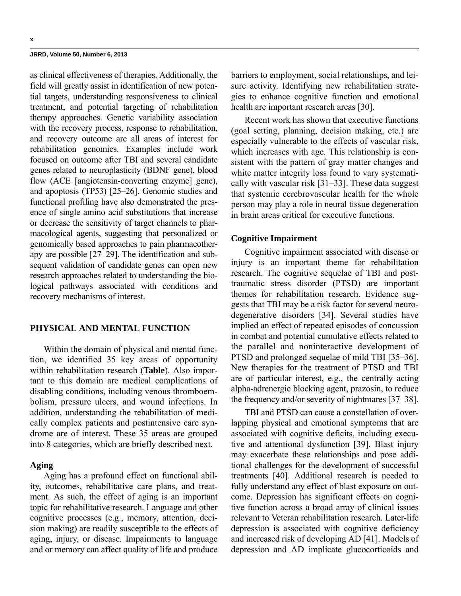as clinical effectiveness of therapies. Additionally, the field will greatly assist in identification of new potential targets, understanding responsiveness to clinical treatment, and potential targeting of rehabilitation therapy approaches. Genetic variability association with the recovery process, response to rehabilitation, and recovery outcome are all areas of interest for rehabilitation genomics. Examples include work focused on outcome after TBI and several candidate genes related to neuroplasticity (BDNF gene), blood flow (ACE [angiotensin-converting enzyme] gene), and apoptosis (TP53) [25–26]. Genomic studies and functional profiling have also demonstrated the presence of single amino acid substitutions that increase or decrease the sensitivity of target channels to pharmacological agents, suggesting that personalized or genomically based approaches to pain pharmacotherapy are possible [27–29]. The identification and subsequent validation of candidate genes can open new research approaches related to understanding the biological pathways associated with conditions and recovery mechanisms of interest.

## **PHYSICAL AND MENTAL FUNCTION**

Within the domain of physical and mental function, we identified 35 key areas of opportunity within rehabilitation research (**Table**). Also important to this domain are medical complications of disabling conditions, including venous thromboembolism, pressure ulcers, and wound infections. In addition, understanding the rehabilitation of medically complex patients and postintensive care syndrome are of interest. These 35 areas are grouped into 8 categories, which are briefly described next.

#### **Aging**

Aging has a profound effect on functional ability, outcomes, rehabilitative care plans, and treatment. As such, the effect of aging is an important topic for rehabilitative research. Language and other cognitive processes (e.g., memory, attention, decision making) are readily susceptible to the effects of aging, injury, or disease. Impairments to language and or memory can affect quality of life and produce

barriers to employment, social relationships, and leisure activity. Identifying new rehabilitation strategies to enhance cognitive function and emotional health are important research areas [30].

Recent work has shown that executive functions (goal setting, planning, decision making, etc.) are especially vulnerable to the effects of vascular risk, which increases with age. This relationship is consistent with the pattern of gray matter changes and white matter integrity loss found to vary systematically with vascular risk [31–33]. These data suggest that systemic cerebrovascular health for the whole person may play a role in neural tissue degeneration in brain areas critical for executive functions.

#### **Cognitive Impairment**

Cognitive impairment associated with disease or injury is an important theme for rehabilitation research. The cognitive sequelae of TBI and posttraumatic stress disorder (PTSD) are important themes for rehabilitation research. Evidence suggests that TBI may be a risk factor for several neurodegenerative disorders [34]. Several studies have implied an effect of repeated episodes of concussion in combat and potential cumulative effects related to the parallel and noninteractive development of PTSD and prolonged sequelae of mild TBI [35–36]. New therapies for the treatment of PTSD and TBI are of particular interest, e.g., the centrally acting alpha-adrenergic blocking agent, prazosin, to reduce the frequency and/or severity of nightmares [37–38].

TBI and PTSD can cause a constellation of overlapping physical and emotional symptoms that are associated with cognitive deficits, including executive and attentional dysfunction [39]. Blast injury may exacerbate these relationships and pose additional challenges for the development of successful treatments [40]. Additional research is needed to fully understand any effect of blast exposure on outcome. Depression has significant effects on cognitive function across a broad array of clinical issues relevant to Veteran rehabilitation research. Later-life depression is associated with cognitive deficiency and increased risk of developing AD [41]. Models of depression and AD implicate glucocorticoids and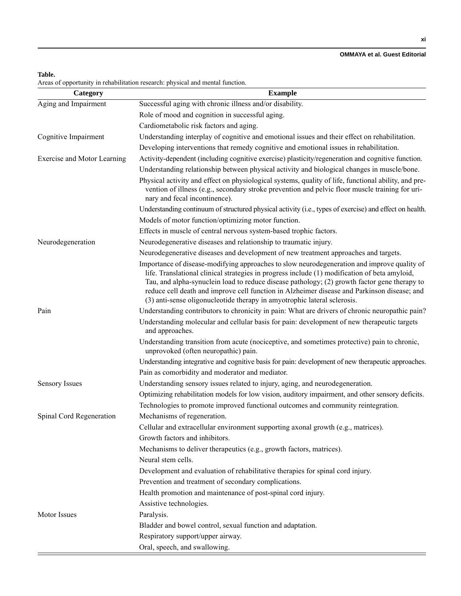#### **OMMAYA et al. Guest Editorial**

## **Table.**

Areas of opportunity in rehabilitation research: physical and mental function.

| Category                    | <b>Example</b>                                                                                                                                                                                                                                                                                                                                                                                                                                                          |
|-----------------------------|-------------------------------------------------------------------------------------------------------------------------------------------------------------------------------------------------------------------------------------------------------------------------------------------------------------------------------------------------------------------------------------------------------------------------------------------------------------------------|
| Aging and Impairment        | Successful aging with chronic illness and/or disability.                                                                                                                                                                                                                                                                                                                                                                                                                |
|                             | Role of mood and cognition in successful aging.                                                                                                                                                                                                                                                                                                                                                                                                                         |
|                             | Cardiometabolic risk factors and aging.                                                                                                                                                                                                                                                                                                                                                                                                                                 |
| Cognitive Impairment        | Understanding interplay of cognitive and emotional issues and their effect on rehabilitation.                                                                                                                                                                                                                                                                                                                                                                           |
|                             | Developing interventions that remedy cognitive and emotional issues in rehabilitation.                                                                                                                                                                                                                                                                                                                                                                                  |
| Exercise and Motor Learning | Activity-dependent (including cognitive exercise) plasticity/regeneration and cognitive function.                                                                                                                                                                                                                                                                                                                                                                       |
|                             | Understanding relationship between physical activity and biological changes in muscle/bone.                                                                                                                                                                                                                                                                                                                                                                             |
|                             | Physical activity and effect on physiological systems, quality of life, functional ability, and pre-<br>vention of illness (e.g., secondary stroke prevention and pelvic floor muscle training for uri-<br>nary and fecal incontinence).                                                                                                                                                                                                                                |
|                             | Understanding continuum of structured physical activity (i.e., types of exercise) and effect on health.                                                                                                                                                                                                                                                                                                                                                                 |
|                             | Models of motor function/optimizing motor function.                                                                                                                                                                                                                                                                                                                                                                                                                     |
|                             | Effects in muscle of central nervous system-based trophic factors.                                                                                                                                                                                                                                                                                                                                                                                                      |
| Neurodegeneration           | Neurodegenerative diseases and relationship to traumatic injury.                                                                                                                                                                                                                                                                                                                                                                                                        |
|                             | Neurodegenerative diseases and development of new treatment approaches and targets.                                                                                                                                                                                                                                                                                                                                                                                     |
|                             | Importance of disease-modifying approaches to slow neurodegeneration and improve quality of<br>life. Translational clinical strategies in progress include (1) modification of beta amyloid,<br>Tau, and alpha-synuclein load to reduce disease pathology; (2) growth factor gene therapy to<br>reduce cell death and improve cell function in Alzheimer disease and Parkinson disease; and<br>(3) anti-sense oligonucleotide therapy in amyotrophic lateral sclerosis. |
| Pain                        | Understanding contributors to chronicity in pain: What are drivers of chronic neuropathic pain?                                                                                                                                                                                                                                                                                                                                                                         |
|                             | Understanding molecular and cellular basis for pain: development of new therapeutic targets<br>and approaches.                                                                                                                                                                                                                                                                                                                                                          |
|                             | Understanding transition from acute (nociceptive, and sometimes protective) pain to chronic,<br>unprovoked (often neuropathic) pain.                                                                                                                                                                                                                                                                                                                                    |
|                             | Understanding integrative and cognitive basis for pain: development of new therapeutic approaches.                                                                                                                                                                                                                                                                                                                                                                      |
|                             | Pain as comorbidity and moderator and mediator.                                                                                                                                                                                                                                                                                                                                                                                                                         |
| <b>Sensory Issues</b>       | Understanding sensory issues related to injury, aging, and neurodegeneration.                                                                                                                                                                                                                                                                                                                                                                                           |
|                             | Optimizing rehabilitation models for low vision, auditory impairment, and other sensory deficits.                                                                                                                                                                                                                                                                                                                                                                       |
|                             | Technologies to promote improved functional outcomes and community reintegration.                                                                                                                                                                                                                                                                                                                                                                                       |
| Spinal Cord Regeneration    | Mechanisms of regeneration.                                                                                                                                                                                                                                                                                                                                                                                                                                             |
|                             | Cellular and extracellular environment supporting axonal growth (e.g., matrices).                                                                                                                                                                                                                                                                                                                                                                                       |
|                             | Growth factors and inhibitors.                                                                                                                                                                                                                                                                                                                                                                                                                                          |
|                             | Mechanisms to deliver therapeutics (e.g., growth factors, matrices).                                                                                                                                                                                                                                                                                                                                                                                                    |
|                             | Neural stem cells.                                                                                                                                                                                                                                                                                                                                                                                                                                                      |
|                             | Development and evaluation of rehabilitative therapies for spinal cord injury.                                                                                                                                                                                                                                                                                                                                                                                          |
|                             | Prevention and treatment of secondary complications.                                                                                                                                                                                                                                                                                                                                                                                                                    |
|                             | Health promotion and maintenance of post-spinal cord injury.                                                                                                                                                                                                                                                                                                                                                                                                            |
|                             | Assistive technologies.                                                                                                                                                                                                                                                                                                                                                                                                                                                 |
| Motor Issues                | Paralysis.                                                                                                                                                                                                                                                                                                                                                                                                                                                              |
|                             | Bladder and bowel control, sexual function and adaptation.                                                                                                                                                                                                                                                                                                                                                                                                              |
|                             | Respiratory support/upper airway.                                                                                                                                                                                                                                                                                                                                                                                                                                       |
|                             | Oral, speech, and swallowing.                                                                                                                                                                                                                                                                                                                                                                                                                                           |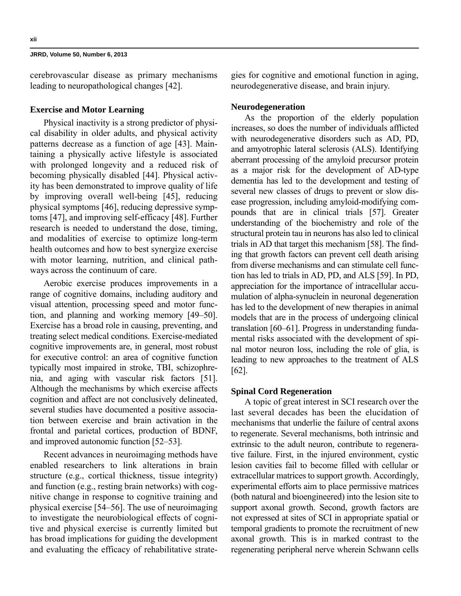cerebrovascular disease as primary mechanisms leading to neuropathological changes [42].

#### **Exercise and Motor Learning**

Physical inactivity is a strong predictor of physical disability in older adults, and physical activity patterns decrease as a function of age [43]. Maintaining a physically active lifestyle is associated with prolonged longevity and a reduced risk of becoming physically disabled [44]. Physical activity has been demonstrated to improve quality of life by improving overall well-being [45], reducing physical symptoms [46], reducing depressive symptoms [47], and improving self-efficacy [48]. Further research is needed to understand the dose, timing, and modalities of exercise to optimize long-term health outcomes and how to best synergize exercise with motor learning, nutrition, and clinical pathways across the continuum of care.

Aerobic exercise produces improvements in a range of cognitive domains, including auditory and visual attention, processing speed and motor function, and planning and working memory [49–50]. Exercise has a broad role in causing, preventing, and treating select medical conditions. Exercise-mediated cognitive improvements are, in general, most robust for executive control: an area of cognitive function typically most impaired in stroke, TBI, schizophrenia, and aging with vascular risk factors [51]. Although the mechanisms by which exercise affects cognition and affect are not conclusively delineated, several studies have documented a positive association between exercise and brain activation in the frontal and parietal cortices, production of BDNF, and improved autonomic function [52–53].

Recent advances in neuroimaging methods have enabled researchers to link alterations in brain structure (e.g., cortical thickness, tissue integrity) and function (e.g., resting brain networks) with cognitive change in response to cognitive training and physical exercise [54–56]. The use of neuroimaging to investigate the neurobiological effects of cognitive and physical exercise is currently limited but has broad implications for guiding the development and evaluating the efficacy of rehabilitative strategies for cognitive and emotional function in aging, neurodegenerative disease, and brain injury.

## **Neurodegeneration**

As the proportion of the elderly population increases, so does the number of individuals afflicted with neurodegenerative disorders such as AD, PD, and amyotrophic lateral sclerosis (ALS). Identifying aberrant processing of the amyloid precursor protein as a major risk for the development of AD-type dementia has led to the development and testing of several new classes of drugs to prevent or slow disease progression, including amyloid-modifying compounds that are in clinical trials [57]. Greater understanding of the biochemistry and role of the structural protein tau in neurons has also led to clinical trials in AD that target this mechanism [58]. The finding that growth factors can prevent cell death arising from diverse mechanisms and can stimulate cell function has led to trials in AD, PD, and ALS [59]. In PD, appreciation for the importance of intracellular accumulation of alpha-synuclein in neuronal degeneration has led to the development of new therapies in animal models that are in the process of undergoing clinical translation [60–61]. Progress in understanding fundamental risks associated with the development of spinal motor neuron loss, including the role of glia, is leading to new approaches to the treatment of ALS [62].

#### **Spinal Cord Regeneration**

A topic of great interest in SCI research over the last several decades has been the elucidation of mechanisms that underlie the failure of central axons to regenerate. Several mechanisms, both intrinsic and extrinsic to the adult neuron, contribute to regenerative failure. First, in the injured environment, cystic lesion cavities fail to become filled with cellular or extracellular matrices to support growth. Accordingly, experimental efforts aim to place permissive matrices (both natural and bioengineered) into the lesion site to support axonal growth. Second, growth factors are not expressed at sites of SCI in appropriate spatial or temporal gradients to promote the recruitment of new axonal growth. This is in marked contrast to the regenerating peripheral nerve wherein Schwann cells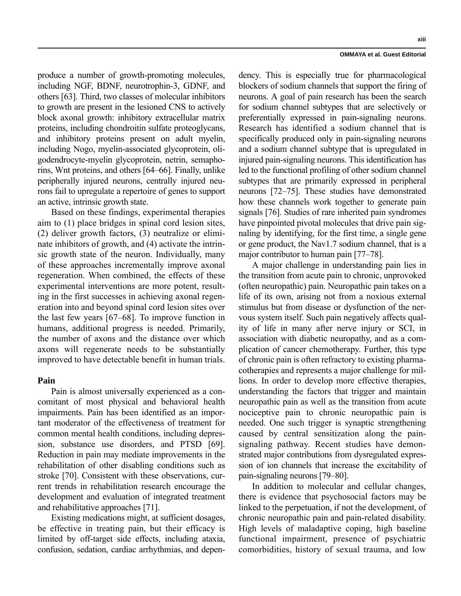produce a number of growth-promoting molecules, including NGF, BDNF, neurotrophin-3, GDNF, and others [63]. Third, two classes of molecular inhibitors to growth are present in the lesioned CNS to actively block axonal growth: inhibitory extracellular matrix proteins, including chondroitin sulfate proteoglycans, and inhibitory proteins present on adult myelin, including Nogo, myelin-associated glycoprotein, oligodendrocyte-myelin glycoprotein, netrin, semaphorins, Wnt proteins, and others [64–66]. Finally, unlike peripherally injured neurons, centrally injured neurons fail to upregulate a repertoire of genes to support an active, intrinsic growth state.

Based on these findings, experimental therapies aim to (1) place bridges in spinal cord lesion sites, (2) deliver growth factors, (3) neutralize or eliminate inhibitors of growth, and (4) activate the intrinsic growth state of the neuron. Individually, many of these approaches incrementally improve axonal regeneration. When combined, the effects of these experimental interventions are more potent, resulting in the first successes in achieving axonal regeneration into and beyond spinal cord lesion sites over the last few years [67–68]. To improve function in humans, additional progress is needed. Primarily, the number of axons and the distance over which axons will regenerate needs to be substantially improved to have detectable benefit in human trials.

## **Pain**

Pain is almost universally experienced as a concomitant of most physical and behavioral health impairments. Pain has been identified as an important moderator of the effectiveness of treatment for common mental health conditions, including depression, substance use disorders, and PTSD [69]. Reduction in pain may mediate improvements in the rehabilitation of other disabling conditions such as stroke [70]. Consistent with these observations, current trends in rehabilitation research encourage the development and evaluation of integrated treatment and rehabilitative approaches [71].

Existing medications might, at sufficient dosages, be effective in treating pain, but their efficacy is limited by off-target side effects, including ataxia, confusion, sedation, cardiac arrhythmias, and dependency. This is especially true for pharmacological blockers of sodium channels that support the firing of neurons. A goal of pain research has been the search for sodium channel subtypes that are selectively or preferentially expressed in pain-signaling neurons. Research has identified a sodium channel that is specifically produced only in pain-signaling neurons and a sodium channel subtype that is upregulated in injured pain-signaling neurons. This identification has led to the functional profiling of other sodium channel subtypes that are primarily expressed in peripheral neurons [72–75]. These studies have demonstrated how these channels work together to generate pain signals [76]. Studies of rare inherited pain syndromes have pinpointed pivotal molecules that drive pain signaling by identifying, for the first time, a single gene or gene product, the Nav1.7 sodium channel, that is a major contributor to human pain [77–78].

A major challenge in understanding pain lies in the transition from acute pain to chronic, unprovoked (often neuropathic) pain. Neuropathic pain takes on a life of its own, arising not from a noxious external stimulus but from disease or dysfunction of the nervous system itself. Such pain negatively affects quality of life in many after nerve injury or SCI, in association with diabetic neuropathy, and as a complication of cancer chemotherapy. Further, this type of chronic pain is often refractory to existing pharmacotherapies and represents a major challenge for millions. In order to develop more effective therapies, understanding the factors that trigger and maintain neuropathic pain as well as the transition from acute nociceptive pain to chronic neuropathic pain is needed. One such trigger is synaptic strengthening caused by central sensitization along the painsignaling pathway. Recent studies have demonstrated major contributions from dysregulated expression of ion channels that increase the excitability of pain-signaling neurons [79–80].

In addition to molecular and cellular changes, there is evidence that psychosocial factors may be linked to the perpetuation, if not the development, of chronic neuropathic pain and pain-related disability. High levels of maladaptive coping, high baseline functional impairment, presence of psychiatric comorbidities, history of sexual trauma, and low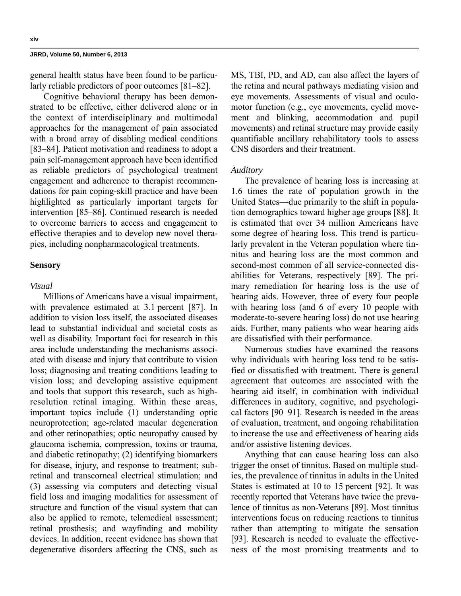general health status have been found to be particularly reliable predictors of poor outcomes [81–82].

Cognitive behavioral therapy has been demonstrated to be effective, either delivered alone or in the context of interdisciplinary and multimodal approaches for the management of pain associated with a broad array of disabling medical conditions [83–84]. Patient motivation and readiness to adopt a pain self-management approach have been identified as reliable predictors of psychological treatment engagement and adherence to therapist recommendations for pain coping-skill practice and have been highlighted as particularly important targets for intervention [85–86]. Continued research is needed to overcome barriers to access and engagement to effective therapies and to develop new novel therapies, including nonpharmacological treatments.

#### **Sensory**

## *Visual*

Millions of Americans have a visual impairment, with prevalence estimated at 3.1 percent [87]. In addition to vision loss itself, the associated diseases lead to substantial individual and societal costs as well as disability. Important foci for research in this area include understanding the mechanisms associated with disease and injury that contribute to vision loss; diagnosing and treating conditions leading to vision loss; and developing assistive equipment and tools that support this research, such as highresolution retinal imaging. Within these areas, important topics include (1) understanding optic neuroprotection; age-related macular degeneration and other retinopathies; optic neuropathy caused by glaucoma ischemia, compression, toxins or trauma, and diabetic retinopathy; (2) identifying biomarkers for disease, injury, and response to treatment; subretinal and transcorneal electrical stimulation; and (3) assessing via computers and detecting visual field loss and imaging modalities for assessment of structure and function of the visual system that can also be applied to remote, telemedical assessment; retinal prosthesis; and wayfinding and mobility devices. In addition, recent evidence has shown that degenerative disorders affecting the CNS, such as

MS, TBI, PD, and AD, can also affect the layers of the retina and neural pathways mediating vision and eye movements. Assessments of visual and oculomotor function (e.g., eye movements, eyelid movement and blinking, accommodation and pupil movements) and retinal structure may provide easily quantifiable ancillary rehabilitatory tools to assess CNS disorders and their treatment.

#### *Auditory*

The prevalence of hearing loss is increasing at 1.6 times the rate of population growth in the United States—due primarily to the shift in population demographics toward higher age groups [88]. It is estimated that over 34 million Americans have some degree of hearing loss. This trend is particularly prevalent in the Veteran population where tinnitus and hearing loss are the most common and second-most common of all service-connected disabilities for Veterans, respectively [89]. The primary remediation for hearing loss is the use of hearing aids. However, three of every four people with hearing loss (and 6 of every 10 people with moderate-to-severe hearing loss) do not use hearing aids. Further, many patients who wear hearing aids are dissatisfied with their performance.

Numerous studies have examined the reasons why individuals with hearing loss tend to be satisfied or dissatisfied with treatment. There is general agreement that outcomes are associated with the hearing aid itself, in combination with individual differences in auditory, cognitive, and psychological factors [90–91]. Research is needed in the areas of evaluation, treatment, and ongoing rehabilitation to increase the use and effectiveness of hearing aids and/or assistive listening devices.

Anything that can cause hearing loss can also trigger the onset of tinnitus. Based on multiple studies, the prevalence of tinnitus in adults in the United States is estimated at 10 to 15 percent [92]. It was recently reported that Veterans have twice the prevalence of tinnitus as non-Veterans [89]. Most tinnitus interventions focus on reducing reactions to tinnitus rather than attempting to mitigate the sensation [93]. Research is needed to evaluate the effectiveness of the most promising treatments and to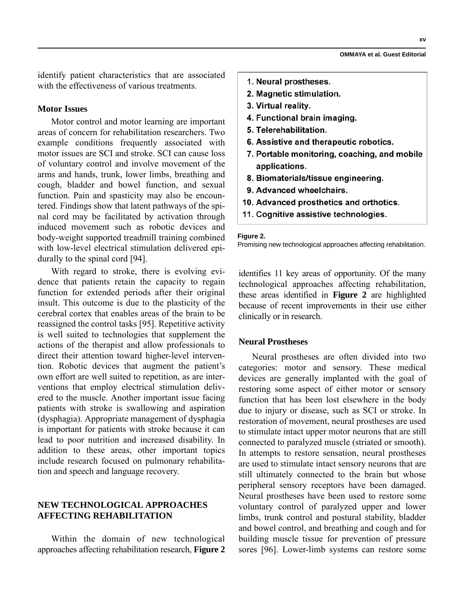identify patient characteristics that are associated with the effectiveness of various treatments.

## **Motor Issues**

Motor control and motor learning are important areas of concern for rehabilitation researchers. Two example conditions frequently associated with motor issues are SCI and stroke. SCI can cause loss of voluntary control and involve movement of the arms and hands, trunk, lower limbs, breathing and cough, bladder and bowel function, and sexual function. Pain and spasticity may also be encountered. Findings show that latent pathways of the spinal cord may be facilitated by activation through induced movement such as robotic devices and body-weight supported treadmill training combined with low-level electrical stimulation delivered epidurally to the spinal cord [94].

With regard to stroke, there is evolving evidence that patients retain the capacity to regain function for extended periods after their original insult. This outcome is due to the plasticity of the cerebral cortex that enables areas of the brain to be reassigned the control tasks [95]. Repetitive activity is well suited to technologies that supplement the actions of the therapist and allow professionals to direct their attention toward higher-level intervention. Robotic devices that augment the patient's own effort are well suited to repetition, as are interventions that employ electrical stimulation delivered to the muscle. Another important issue facing patients with stroke is swallowing and aspiration (dysphagia). Appropriate management of dysphagia is important for patients with stroke because it can lead to poor nutrition and increased disability. In addition to these areas, other important topics include research focused on pulmonary rehabilitation and speech and language recovery.

## **NEW TECHNOLOGICAL APPROACHES AFFECTING REHABILITATION**

Within the domain of new technological approaches affecting rehabilitation research, **Figure 2**

- 1. Neural prostheses.
- 2. Magnetic stimulation.
- 3. Virtual reality.
- 4. Functional brain imaging.
- 5. Telerehabilitation.
- 6. Assistive and therapeutic robotics.
- 7. Portable monitoring, coaching, and mobile applications.
- 8. Biomaterials/tissue engineering.
- 9. Advanced wheelchairs.
- 10. Advanced prosthetics and orthotics.
- 11. Cognitive assistive technologies.

#### **Figure 2.**

Promising new technological approaches affecting rehabilitation.

identifies 11 key areas of opportunity. Of the many technological approaches affecting rehabilitation, these areas identified in **Figure 2** are highlighted because of recent improvements in their use either clinically or in research.

## **Neural Prostheses**

Neural prostheses are often divided into two categories: motor and sensory. These medical devices are generally implanted with the goal of restoring some aspect of either motor or sensory function that has been lost elsewhere in the body due to injury or disease, such as SCI or stroke. In restoration of movement, neural prostheses are used to stimulate intact upper motor neurons that are still connected to paralyzed muscle (striated or smooth). In attempts to restore sensation, neural prostheses are used to stimulate intact sensory neurons that are still ultimately connected to the brain but whose peripheral sensory receptors have been damaged. Neural prostheses have been used to restore some voluntary control of paralyzed upper and lower limbs, trunk control and postural stability, bladder and bowel control, and breathing and cough and for building muscle tissue for prevention of pressure sores [96]. Lower-limb systems can restore some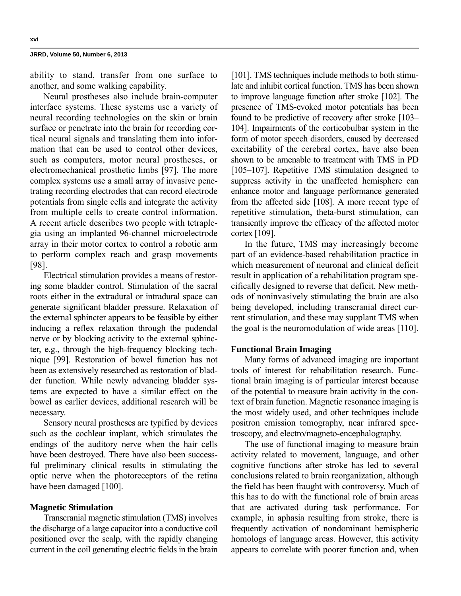ability to stand, transfer from one surface to another, and some walking capability.

Neural prostheses also include brain-computer interface systems. These systems use a variety of neural recording technologies on the skin or brain surface or penetrate into the brain for recording cortical neural signals and translating them into information that can be used to control other devices, such as computers, motor neural prostheses, or electromechanical prosthetic limbs [97]. The more complex systems use a small array of invasive penetrating recording electrodes that can record electrode potentials from single cells and integrate the activity from multiple cells to create control information. A recent article describes two people with tetraplegia using an implanted 96-channel microelectrode array in their motor cortex to control a robotic arm to perform complex reach and grasp movements [98].

Electrical stimulation provides a means of restoring some bladder control. Stimulation of the sacral roots either in the extradural or intradural space can generate significant bladder pressure. Relaxation of the external sphincter appears to be feasible by either inducing a reflex relaxation through the pudendal nerve or by blocking activity to the external sphincter, e.g., through the high-frequency blocking technique [99]. Restoration of bowel function has not been as extensively researched as restoration of bladder function. While newly advancing bladder systems are expected to have a similar effect on the bowel as earlier devices, additional research will be necessary.

Sensory neural prostheses are typified by devices such as the cochlear implant, which stimulates the endings of the auditory nerve when the hair cells have been destroyed. There have also been successful preliminary clinical results in stimulating the optic nerve when the photoreceptors of the retina have been damaged [100].

## **Magnetic Stimulation**

Transcranial magnetic stimulation (TMS) involves the discharge of a large capacitor into a conductive coil positioned over the scalp, with the rapidly changing current in the coil generating electric fields in the brain

[101]. TMS techniques include methods to both stimulate and inhibit cortical function. TMS has been shown to improve language function after stroke [102]. The presence of TMS-evoked motor potentials has been found to be predictive of recovery after stroke [103– 104]. Impairments of the corticobulbar system in the form of motor speech disorders, caused by decreased excitability of the cerebral cortex, have also been shown to be amenable to treatment with TMS in PD [105–107]. Repetitive TMS stimulation designed to suppress activity in the unaffected hemisphere can enhance motor and language performance generated from the affected side [108]. A more recent type of repetitive stimulation, theta-burst stimulation, can transiently improve the efficacy of the affected motor cortex [109].

In the future, TMS may increasingly become part of an evidence-based rehabilitation practice in which measurement of neuronal and clinical deficit result in application of a rehabilitation program specifically designed to reverse that deficit. New methods of noninvasively stimulating the brain are also being developed, including transcranial direct current stimulation, and these may supplant TMS when the goal is the neuromodulation of wide areas [110].

#### **Functional Brain Imaging**

Many forms of advanced imaging are important tools of interest for rehabilitation research. Functional brain imaging is of particular interest because of the potential to measure brain activity in the context of brain function. Magnetic resonance imaging is the most widely used, and other techniques include positron emission tomography, near infrared spectroscopy, and electro/magneto-encephalography.

The use of functional imaging to measure brain activity related to movement, language, and other cognitive functions after stroke has led to several conclusions related to brain reorganization, although the field has been fraught with controversy. Much of this has to do with the functional role of brain areas that are activated during task performance. For example, in aphasia resulting from stroke, there is frequently activation of nondominant hemispheric homologs of language areas. However, this activity appears to correlate with poorer function and, when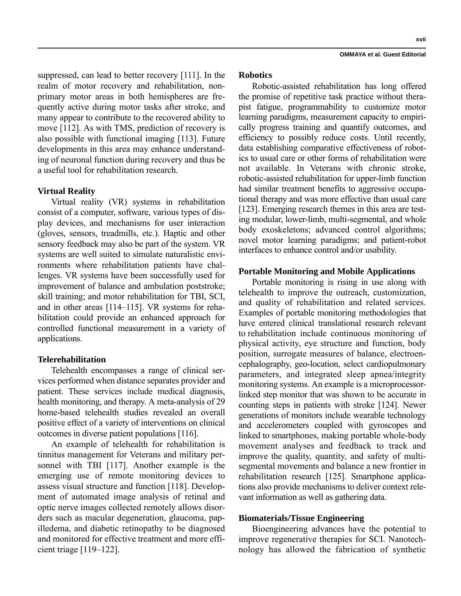suppressed, can lead to better recovery [111]. In the realm of motor recovery and rehabilitation, nonprimary motor areas in both hemispheres are frequently active during motor tasks after stroke, and many appear to contribute to the recovered ability to move [112]. As with TMS, prediction of recovery is also possible with functional imaging [113]. Future developments in this area may enhance understanding of neuronal function during recovery and thus be a useful tool for rehabilitation research.

## **Virtual Reality**

Virtual reality (VR) systems in rehabilitation consist of a computer, software, various types of display devices, and mechanisms for user interaction (gloves, sensors, treadmills, etc.). Haptic and other sensory feedback may also be part of the system. VR systems are well suited to simulate naturalistic environments where rehabilitation patients have challenges. VR systems have been successfully used for improvement of balance and ambulation poststroke; skill training; and motor rehabilitation for TBI, SCI, and in other areas [114–115]. VR systems for rehabilitation could provide an enhanced approach for controlled functional measurement in a variety of applications.

## **Telerehabilitation**

Telehealth encompasses a range of clinical services performed when distance separates provider and patient. These services include medical diagnosis, health monitoring, and therapy. A meta-analysis of 29 home-based telehealth studies revealed an overall positive effect of a variety of interventions on clinical outcomes in diverse patient populations [116].

An example of telehealth for rehabilitation is tinnitus management for Veterans and military personnel with TBI [117]. Another example is the emerging use of remote monitoring devices to assess visual structure and function [118]. Development of automated image analysis of retinal and optic nerve images collected remotely allows disorders such as macular degeneration, glaucoma, papilledema, and diabetic retinopathy to be diagnosed and monitored for effective treatment and more efficient triage [119–122].

**xvii**

#### **Robotics**

Robotic-assisted rehabilitation has long offered the promise of repetitive task practice without therapist fatigue, programmability to customize motor learning paradigms, measurement capacity to empirically progress training and quantify outcomes, and efficiency to possibly reduce costs. Until recently, data establishing comparative effectiveness of robotics to usual care or other forms of rehabilitation were not available. In Veterans with chronic stroke, robotic-assisted rehabilitation for upper-limb function had similar treatment benefits to aggressive occupational therapy and was more effective than usual care [123]. Emerging research themes in this area are testing modular, lower-limb, multi-segmental, and whole body exoskeletons; advanced control algorithms; novel motor learning paradigms; and patient-robot interfaces to enhance control and/or usability.

#### **Portable Monitoring and Mobile Applications**

Portable monitoring is rising in use along with telehealth to improve the outreach, customization, and quality of rehabilitation and related services. Examples of portable monitoring methodologies that have entered clinical translational research relevant to rehabilitation include continuous monitoring of physical activity, eye structure and function, body position, surrogate measures of balance, electroencephalography, geo-location, select cardiopulmonary parameters, and integrated sleep apnea/integrity monitoring systems. An example is a microprocessorlinked step monitor that was shown to be accurate in counting steps in patients with stroke [124]. Newer generations of monitors include wearable technology and accelerometers coupled with gyroscopes and linked to smartphones, making portable whole-body movement analyses and feedback to track and improve the quality, quantity, and safety of multisegmental movements and balance a new frontier in rehabilitation research [125]. Smartphone applications also provide mechanisms to deliver context relevant information as well as gathering data.

#### **Biomaterials/Tissue Engineering**

Bioengineering advances have the potential to improve regenerative therapies for SCI. Nanotechnology has allowed the fabrication of synthetic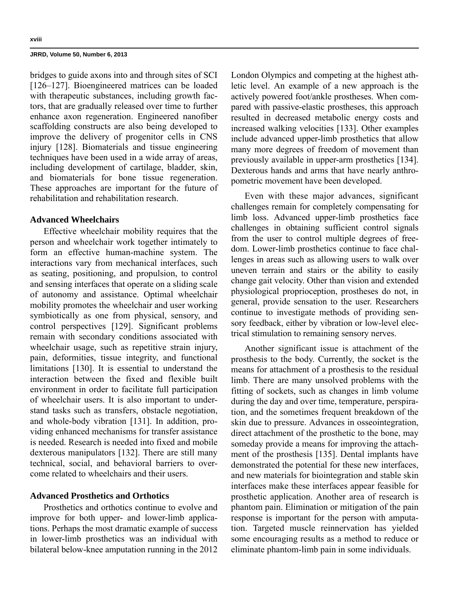bridges to guide axons into and through sites of SCI [126–127]. Bioengineered matrices can be loaded with therapeutic substances, including growth factors, that are gradually released over time to further enhance axon regeneration. Engineered nanofiber scaffolding constructs are also being developed to improve the delivery of progenitor cells in CNS injury [128]. Biomaterials and tissue engineering techniques have been used in a wide array of areas, including development of cartilage, bladder, skin, and biomaterials for bone tissue regeneration. These approaches are important for the future of rehabilitation and rehabilitation research.

## **Advanced Wheelchairs**

Effective wheelchair mobility requires that the person and wheelchair work together intimately to form an effective human-machine system. The interactions vary from mechanical interfaces, such as seating, positioning, and propulsion, to control and sensing interfaces that operate on a sliding scale of autonomy and assistance. Optimal wheelchair mobility promotes the wheelchair and user working symbiotically as one from physical, sensory, and control perspectives [129]. Significant problems remain with secondary conditions associated with wheelchair usage, such as repetitive strain injury, pain, deformities, tissue integrity, and functional limitations [130]. It is essential to understand the interaction between the fixed and flexible built environment in order to facilitate full participation of wheelchair users. It is also important to understand tasks such as transfers, obstacle negotiation, and whole-body vibration [131]. In addition, providing enhanced mechanisms for transfer assistance is needed. Research is needed into fixed and mobile dexterous manipulators [132]. There are still many technical, social, and behavioral barriers to overcome related to wheelchairs and their users.

## **Advanced Prosthetics and Orthotics**

Prosthetics and orthotics continue to evolve and improve for both upper- and lower-limb applications. Perhaps the most dramatic example of success in lower-limb prosthetics was an individual with bilateral below-knee amputation running in the 2012 London Olympics and competing at the highest athletic level. An example of a new approach is the actively powered foot/ankle prostheses. When compared with passive-elastic prostheses, this approach resulted in decreased metabolic energy costs and increased walking velocities [133]. Other examples include advanced upper-limb prosthetics that allow many more degrees of freedom of movement than previously available in upper-arm prosthetics [134]. Dexterous hands and arms that have nearly anthropometric movement have been developed.

Even with these major advances, significant challenges remain for completely compensating for limb loss. Advanced upper-limb prosthetics face challenges in obtaining sufficient control signals from the user to control multiple degrees of freedom. Lower-limb prosthetics continue to face challenges in areas such as allowing users to walk over uneven terrain and stairs or the ability to easily change gait velocity. Other than vision and extended physiological proprioception, prostheses do not, in general, provide sensation to the user. Researchers continue to investigate methods of providing sensory feedback, either by vibration or low-level electrical stimulation to remaining sensory nerves.

Another significant issue is attachment of the prosthesis to the body. Currently, the socket is the means for attachment of a prosthesis to the residual limb. There are many unsolved problems with the fitting of sockets, such as changes in limb volume during the day and over time, temperature, perspiration, and the sometimes frequent breakdown of the skin due to pressure. Advances in osseointegration, direct attachment of the prosthetic to the bone, may someday provide a means for improving the attachment of the prosthesis [135]. Dental implants have demonstrated the potential for these new interfaces, and new materials for biointegration and stable skin interfaces make these interfaces appear feasible for prosthetic application. Another area of research is phantom pain. Elimination or mitigation of the pain response is important for the person with amputation. Targeted muscle reinnervation has yielded some encouraging results as a method to reduce or eliminate phantom-limb pain in some individuals.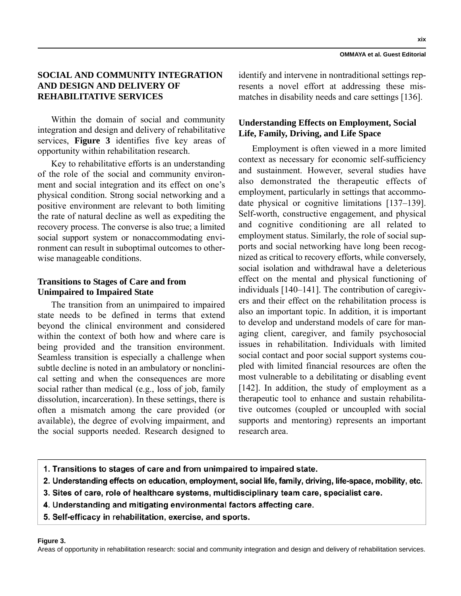**xix**

# **SOCIAL AND COMMUNITY INTEGRATION AND DESIGN AND DELIVERY OF REHABILITATIVE SERVICES**

Within the domain of social and community integration and design and delivery of rehabilitative services, **Figure 3** identifies five key areas of opportunity within rehabilitation research.

Key to rehabilitative efforts is an understanding of the role of the social and community environment and social integration and its effect on one's physical condition. Strong social networking and a positive environment are relevant to both limiting the rate of natural decline as well as expediting the recovery process. The converse is also true; a limited social support system or nonaccommodating environment can result in suboptimal outcomes to otherwise manageable conditions.

# **Transitions to Stages of Care and from Unimpaired to Impaired State**

The transition from an unimpaired to impaired state needs to be defined in terms that extend beyond the clinical environment and considered within the context of both how and where care is being provided and the transition environment. Seamless transition is especially a challenge when subtle decline is noted in an ambulatory or nonclinical setting and when the consequences are more social rather than medical (e.g., loss of job, family dissolution, incarceration). In these settings, there is often a mismatch among the care provided (or available), the degree of evolving impairment, and the social supports needed. Research designed to identify and intervene in nontraditional settings represents a novel effort at addressing these mismatches in disability needs and care settings [136].

# **Understanding Effects on Employment, Social Life, Family, Driving, and Life Space**

Employment is often viewed in a more limited context as necessary for economic self-sufficiency and sustainment. However, several studies have also demonstrated the therapeutic effects of employment, particularly in settings that accommodate physical or cognitive limitations [137–139]. Self-worth, constructive engagement, and physical and cognitive conditioning are all related to employment status. Similarly, the role of social supports and social networking have long been recognized as critical to recovery efforts, while conversely, social isolation and withdrawal have a deleterious effect on the mental and physical functioning of individuals [140–141]. The contribution of caregivers and their effect on the rehabilitation process is also an important topic. In addition, it is important to develop and understand models of care for managing client, caregiver, and family psychosocial issues in rehabilitation. Individuals with limited social contact and poor social support systems coupled with limited financial resources are often the most vulnerable to a debilitating or disabling event [142]. In addition, the study of employment as a therapeutic tool to enhance and sustain rehabilitative outcomes (coupled or uncoupled with social supports and mentoring) represents an important research area.

- 1. Transitions to stages of care and from unimpaired to impaired state.
- 2. Understanding effects on education, employment, social life, family, driving, life-space, mobility, etc.
- 3. Sites of care, role of healthcare systems, multidisciplinary team care, specialist care.
- 4. Understanding and mitigating environmental factors affecting care.
- 5. Self-efficacy in rehabilitation, exercise, and sports.

#### **Figure 3.**

Areas of opportunity in rehabilitation research: social and community integration and design and delivery of rehabilitation services.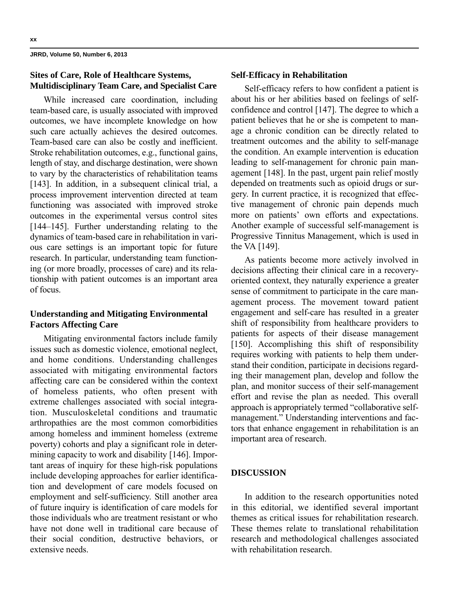# **Sites of Care, Role of Healthcare Systems, Multidisciplinary Team Care, and Specialist Care**

While increased care coordination, including team-based care, is usually associated with improved outcomes, we have incomplete knowledge on how such care actually achieves the desired outcomes. Team-based care can also be costly and inefficient. Stroke rehabilitation outcomes, e.g., functional gains, length of stay, and discharge destination, were shown to vary by the characteristics of rehabilitation teams [143]. In addition, in a subsequent clinical trial, a process improvement intervention directed at team functioning was associated with improved stroke outcomes in the experimental versus control sites [144–145]. Further understanding relating to the dynamics of team-based care in rehabilitation in various care settings is an important topic for future research. In particular, understanding team functioning (or more broadly, processes of care) and its relationship with patient outcomes is an important area of focus.

## **Understanding and Mitigating Environmental Factors Affecting Care**

Mitigating environmental factors include family issues such as domestic violence, emotional neglect, and home conditions. Understanding challenges associated with mitigating environmental factors affecting care can be considered within the context of homeless patients, who often present with extreme challenges associated with social integration. Musculoskeletal conditions and traumatic arthropathies are the most common comorbidities among homeless and imminent homeless (extreme poverty) cohorts and play a significant role in determining capacity to work and disability [146]. Important areas of inquiry for these high-risk populations include developing approaches for earlier identification and development of care models focused on employment and self-sufficiency. Still another area of future inquiry is identification of care models for those individuals who are treatment resistant or who have not done well in traditional care because of their social condition, destructive behaviors, or extensive needs.

## **Self-Efficacy in Rehabilitation**

Self-efficacy refers to how confident a patient is about his or her abilities based on feelings of selfconfidence and control [147]. The degree to which a patient believes that he or she is competent to manage a chronic condition can be directly related to treatment outcomes and the ability to self-manage the condition. An example intervention is education leading to self-management for chronic pain management [148]. In the past, urgent pain relief mostly depended on treatments such as opioid drugs or surgery. In current practice, it is recognized that effective management of chronic pain depends much more on patients' own efforts and expectations. Another example of successful self-management is Progressive Tinnitus Management, which is used in the VA [149].

As patients become more actively involved in decisions affecting their clinical care in a recoveryoriented context, they naturally experience a greater sense of commitment to participate in the care management process. The movement toward patient engagement and self-care has resulted in a greater shift of responsibility from healthcare providers to patients for aspects of their disease management [150]. Accomplishing this shift of responsibility requires working with patients to help them understand their condition, participate in decisions regarding their management plan, develop and follow the plan, and monitor success of their self-management effort and revise the plan as needed. This overall approach is appropriately termed "collaborative selfmanagement." Understanding interventions and factors that enhance engagement in rehabilitation is an important area of research.

## **DISCUSSION**

In addition to the research opportunities noted in this editorial, we identified several important themes as critical issues for rehabilitation research. These themes relate to translational rehabilitation research and methodological challenges associated with rehabilitation research.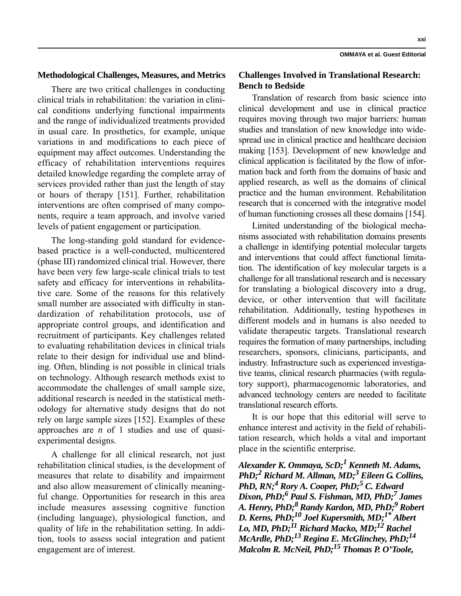There are two critical challenges in conducting clinical trials in rehabilitation: the variation in clinical conditions underlying functional impairments and the range of individualized treatments provided in usual care. In prosthetics, for example, unique variations in and modifications to each piece of equipment may affect outcomes. Understanding the efficacy of rehabilitation interventions requires detailed knowledge regarding the complete array of services provided rather than just the length of stay or hours of therapy [151]. Further, rehabilitation interventions are often comprised of many components, require a team approach, and involve varied levels of patient engagement or participation.

The long-standing gold standard for evidencebased practice is a well-conducted, multicentered (phase III) randomized clinical trial. However, there have been very few large-scale clinical trials to test safety and efficacy for interventions in rehabilitative care. Some of the reasons for this relatively small number are associated with difficulty in standardization of rehabilitation protocols, use of appropriate control groups, and identification and recruitment of participants. Key challenges related to evaluating rehabilitation devices in clinical trials relate to their design for individual use and blinding. Often, blinding is not possible in clinical trials on technology. Although research methods exist to accommodate the challenges of small sample size, additional research is needed in the statistical methodology for alternative study designs that do not rely on large sample sizes [152]. Examples of these approaches are *n* of 1 studies and use of quasiexperimental designs.

A challenge for all clinical research, not just rehabilitation clinical studies, is the development of measures that relate to disability and impairment and also allow measurement of clinically meaningful change. Opportunities for research in this area include measures assessing cognitive function (including language), physiological function, and quality of life in the rehabilitation setting. In addition, tools to assess social integration and patient engagement are of interest.

## **Challenges Involved in Translational Research: Bench to Bedside**

Translation of research from basic science into clinical development and use in clinical practice requires moving through two major barriers: human studies and translation of new knowledge into widespread use in clinical practice and healthcare decision making [153]. Development of new knowledge and clinical application is facilitated by the flow of information back and forth from the domains of basic and applied research, as well as the domains of clinical practice and the human environment. Rehabilitation research that is concerned with the integrative model of human functioning crosses all these domains [154].

Limited understanding of the biological mechanisms associated with rehabilitation domains presents a challenge in identifying potential molecular targets and interventions that could affect functional limitation. The identification of key molecular targets is a challenge for all translational research and is necessary for translating a biological discovery into a drug, device, or other intervention that will facilitate rehabilitation. Additionally, testing hypotheses in different models and in humans is also needed to validate therapeutic targets. Translational research requires the formation of many partnerships, including researchers, sponsors, clinicians, participants, and industry. Infrastructure such as experienced investigative teams, clinical research pharmacies (with regulatory support), pharmacogenomic laboratories, and advanced technology centers are needed to facilitate translational research efforts.

It is our hope that this editorial will serve to enhance interest and activity in the field of rehabilitation research, which holds a vital and important place in the scientific enterprise.

*Alexander K. Ommaya, ScD;1 Kenneth M. Adams, PhD;2 Richard M. Allman, MD;3 Eileen G. Collins, PhD, RN;<sup>4</sup> Rory A. Cooper, PhD;<sup>5</sup> C. Edward Dixon, PhD;6 Paul S. Fishman, MD, PhD;7 James A. Henry, PhD;8 Randy Kardon, MD, PhD;9 Robert D. Kerns, PhD;10 Joel Kupersmith, MD;1\* Albert Lo, MD, PhD;11 Richard Macko, MD;12 Rachel McArdle, PhD;13 Regina E. McGlinchey, PhD;14 Malcolm R. McNeil, PhD;15 Thomas P. O'Toole,* 

**OMMAYA et al. Guest Editorial**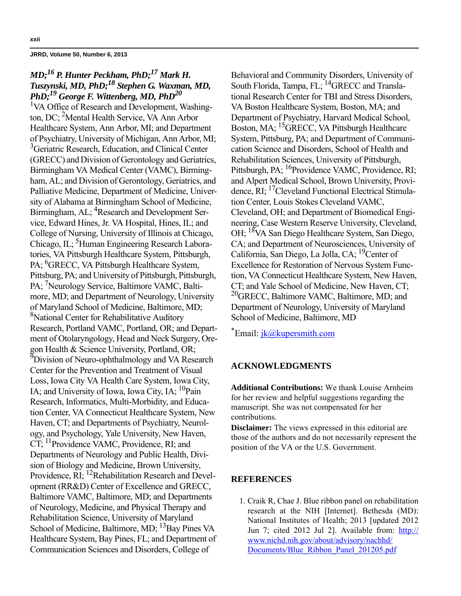# *MD;16 P. Hunter Peckham, PhD;17 Mark H. Tuszynski, MD, PhD;18 Stephen G. Waxman, MD, PhD;19 George F. Wittenberg, MD, PhD20*

<sup>1</sup>VA Office of Research and Development, Washington, DC; 2 Mental Health Service, VA Ann Arbor Healthcare System, Ann Arbor, MI; and Department of Psychiatry, University of Michigan, Ann Arbor, MI; <sup>3</sup> Geriatric Research, Education, and Clinical Center (GRECC) and Division of Gerontology and Geriatrics, Birmingham VA Medical Center (VAMC), Birmingham, AL; and Division of Gerontology, Geriatrics, and Palliative Medicine, Department of Medicine, University of Alabama at Birmingham School of Medicine, Birmingham, AL; <sup>4</sup>Research and Development Service, Edward Hines, Jr. VA Hospital, Hines, IL; and College of Nursing, University of Illinois at Chicago, Chicago, IL; <sup>5</sup>Human Engineering Research Laboratories, VA Pittsburgh Healthcare System, Pittsburgh, PA; <sup>6</sup>GRECC, VA Pittsburgh Healthcare System, Pittsburg, PA; and University of Pittsburgh, Pittsburgh, PA; <sup>7</sup>Neurology Service, Baltimore VAMC, Baltimore, MD; and Department of Neurology, University of Maryland School of Medicine, Baltimore, MD; 8 National Center for Rehabilitative Auditory Research, Portland VAMC, Portland, OR; and Department of Otolaryngology, Head and Neck Surgery, Oregon Health & Science University, Portland, OR; <sup>9</sup>Division of Neuro-ophthalmology and VA Research Center for the Prevention and Treatment of Visual Loss, Iowa City VA Health Care System, Iowa City, IA; and University of Iowa, Iowa City, IA;  $^{10}$ Pain Research, Informatics, Multi-Morbidity, and Education Center, VA Connecticut Healthcare System, New Haven, CT; and Departments of Psychiatry, Neurology, and Psychology, Yale University, New Haven, CT; 11Providence VAMC, Providence, RI; and Departments of Neurology and Public Health, Division of Biology and Medicine, Brown University, Providence, RI; <sup>12</sup>Rehabilitation Research and Development (RR&D) Center of Excellence and GRECC, Baltimore VAMC, Baltimore, MD; and Departments of Neurology, Medicine, and Physical Therapy and Rehabilitation Science, University of Maryland School of Medicine, Baltimore, MD;  $^{13}$ Bay Pines VA Healthcare System, Bay Pines, FL; and Department of Communication Sciences and Disorders, College of

Behavioral and Community Disorders, University of South Florida, Tampa, FL; <sup>14</sup>GRECC and Translational Research Center for TBI and Stress Disorders, VA Boston Healthcare System, Boston, MA; and Department of Psychiatry, Harvard Medical School, Boston, MA; 15GRECC, VA Pittsburgh Healthcare System, Pittsburg, PA; and Department of Communication Science and Disorders, School of Health and Rehabilitation Sciences, University of Pittsburgh, Pittsburgh, PA; <sup>16</sup>Providence VAMC, Providence, RI; and Alpert Medical School, Brown University, Providence, RI; 17Cleveland Functional Electrical Stimulation Center, Louis Stokes Cleveland VAMC, Cleveland, OH; and Department of Biomedical Engineering, Case Western Reserve University, Cleveland, OH; 18VA San Diego Healthcare System, San Diego, CA; and Department of Neurosciences, University of California, San Diego, La Jolla, CA; <sup>19</sup>Center of Excellence for Restoration of Nervous System Function, VA Connecticut Healthcare System, New Haven, CT; and Yale School of Medicine, New Haven, CT; <sup>20</sup>GRECC, Baltimore VAMC, Baltimore, MD; and Department of Neurology, University of Maryland School of Medicine, Baltimore, MD

\*Email: *jk@kupersmith.com* 

## **ACKNOWLEDGMENTS**

**Additional Contributions:** We thank Louise Arnheim for her review and helpful suggestions regarding the manuscript. She was not compensated for her contributions.

**Disclaimer:** The views expressed in this editorial are those of the authors and do not necessarily represent the position of the VA or the U.S. Government.

#### **REFERENCES**

 1. Craik R, Chae J. Blue ribbon panel on rehabilitation research at the NIH [Internet]. Bethesda (MD): National Institutes of Health; 2013 [updated 2012 Jun 7; cited 2012 Jul 2]. Available from: [http://](http://www.nichd.nih.gov/about/advisory/nachhd/Documents/Blue_Ribbon_Panel_201205.pdf) [www.nichd.nih.gov/about/advisory/nachhd/](http://www.nichd.nih.gov/about/advisory/nachhd/Documents/Blue_Ribbon_Panel_201205.pdf) [Documents/Blue\\_Ribbon\\_Panel\\_201205.pdf](http://www.nichd.nih.gov/about/advisory/nachhd/Documents/Blue_Ribbon_Panel_201205.pdf)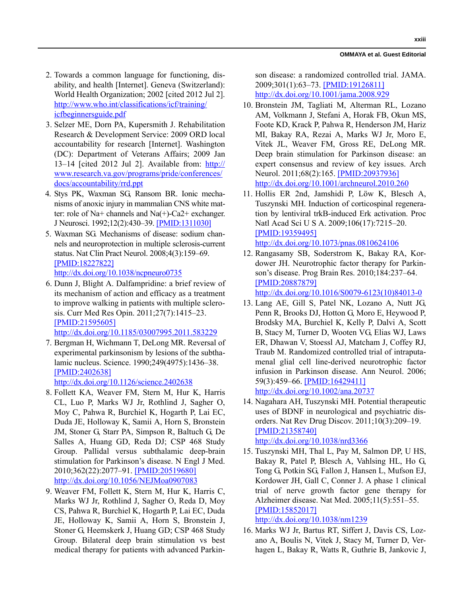**xxiii**

#### **OMMAYA et al. Guest Editorial**

- 2. Towards a common language for functioning, disability, and health [Internet]. Geneva (Switzerland): World Health Organization; 2002 [cited 2012 Jul 2]. [http://www.who.int/classifications/icf/training/](http://www.who.int/classifications/icf/training/icfbeginnersguide.pdf) [icfbeginnersguide.pdf](http://www.who.int/classifications/icf/training/icfbeginnersguide.pdf)
- 3. Selzer ME, Dorn PA, Kupersmith J. Rehabilitation Research & Development Service: 2009 ORD local accountability for research [Internet]. Washington (DC): Department of Veterans Affairs; 2009 Jan 13–14 [cited 2012 Jul 2]. Available from: [http://](http://www.research.va.gov/programs/pride/conferences/docs/accountability/rrd.ppt) [www.research.va.gov/programs/pride/conferences/](http://www.research.va.gov/programs/pride/conferences/docs/accountability/rrd.ppt) [docs/accountability/rrd.ppt](http://www.research.va.gov/programs/pride/conferences/docs/accountability/rrd.ppt)
- 4. Stys PK, Waxman SG, Ransom BR. Ionic mechanisms of anoxic injury in mammalian CNS white matter: role of Na+ channels and Na(+)-Ca2+ exchanger. J Neurosci. 1992;12(2):430–39. [\[PMID:1311030\]](http://www.ncbi.nlm.nih.gov/entrez/query.fcgi?cmd=Retrieve&db=PubMed&list_uids=1311030&dopt=Abstract)
- 5. Waxman SG. Mechanisms of disease: sodium channels and neuroprotection in multiple sclerosis-current status. Nat Clin Pract Neurol. 2008;4(3):159–69. [\[PMID:18227822\]](http://www.ncbi.nlm.nih.gov/entrez/query.fcgi?cmd=Retrieve&db=PubMed&list_uids=18227822&dopt=Abstract) [h](http://www.ncbi.nlm.nih.gov/entrez/query.fcgi?cmd=Retrieve&db=PubMed&list_uids=18227822&dopt=Abstract)[ttp://dx.doi.org/10.1038/ncpneuro0735](http://dx.doi.org/10.1038/ncpneuro0735)
- 6. Dunn J, Blight A. Dalfampridine: a brief review of its mechanism of action and efficacy as a treatment to improve walking in patients with multiple sclerosis. Curr Med Res Opin. 2011;27(7):1415–23. [\[PMID:21595605\]](http://www.ncbi.nlm.nih.gov/entrez/query.fcgi?cmd=Retrieve&db=PubMed&list_uids=21595605&dopt=Abstract) [h](http://www.ncbi.nlm.nih.gov/entrez/query.fcgi?cmd=Retrieve&db=PubMed&list_uids=21595605&dopt=Abstract)[ttp://dx.doi.org/10.1185/03007995.2011.583229](http://dx.doi.org/10.1185/03007995.2011.583229)
- 7. Bergman H, Wichmann T, DeLong MR. Reversal of experimental parkinsonism by lesions of the subthalamic nucleus. Science. 1990;249(4975):1436–38. [\[PMID:2402638\]](http://www.ncbi.nlm.nih.gov/entrez/query.fcgi?cmd=Retrieve&db=PubMed&list_uids=2402638&dopt=Abstract) [h](http://www.ncbi.nlm.nih.gov/entrez/query.fcgi?cmd=Retrieve&db=PubMed&list_uids=2402638&dopt=Abstract)[ttp://dx.doi.org/10.1126/science.2402638](http://dx.doi.org/10.1126/science.2402638)
- 8. Follett KA, Weaver FM, Stern M, Hur K, Harris CL, Luo P, Marks WJ Jr, Rothlind J, Sagher O, Moy C, Pahwa R, Burchiel K, Hogarth P, Lai EC, Duda JE, Holloway K, Samii A, Horn S, Bronstein JM, Stoner G, Starr PA, Simpson R, Baltuch G, De Salles A, Huang GD, Reda DJ; CSP 468 Study Group. Pallidal versus subthalamic deep-brain stimulation for Parkinson's disease. N Engl J Med. 2010;362(22):2077–91. [\[PMID:20519680\]](http://www.ncbi.nlm.nih.gov/entrez/query.fcgi?cmd=Retrieve&db=PubMed&list_uids=20519680&dopt=Abstract) [h](http://www.ncbi.nlm.nih.gov/entrez/query.fcgi?cmd=Retrieve&db=PubMed&list_uids=20519680&dopt=Abstract)[ttp://dx.doi.org/10.1056/NEJMoa0907083](http://dx.doi.org/10.1056/NEJMoa0907083)
- 9. Weaver FM, Follett K, Stern M, Hur K, Harris C, Marks WJ Jr, Rothlind J, Sagher O, Reda D, Moy CS, Pahwa R, Burchiel K, Hogarth P, Lai EC, Duda JE, Holloway K, Samii A, Horn S, Bronstein J, Stoner G, Heemskerk J, Huang GD; CSP 468 Study Group. Bilateral deep brain stimulation vs best medical therapy for patients with advanced Parkin-

son disease: a randomized controlled trial. JAMA. 2009;301(1):63–73. [\[PMID:19126811\]](http://www.ncbi.nlm.nih.gov/entrez/query.fcgi?cmd=Retrieve&db=PubMed&list_uids=19126811&dopt=Abstract) [h](http://www.ncbi.nlm.nih.gov/entrez/query.fcgi?cmd=Retrieve&db=PubMed&list_uids=19126811&dopt=Abstract)[ttp://dx.doi.org/10.1001/jama.2008.929](http://dx.doi.org/10.1001/jama.2008.929)

- 10. Bronstein JM, Tagliati M, Alterman RL, Lozano AM, Volkmann J, Stefani A, Horak FB, Okun MS, Foote KD, Krack P, Pahwa R, Henderson JM, Hariz MI, Bakay RA, Rezai A, Marks WJ Jr, Moro E, Vitek JL, Weaver FM, Gross RE, DeLong MR. Deep brain stimulation for Parkinson disease: an expert consensus and review of key issues. Arch Neurol. 2011;68(2):165. [\[PMID:20937936\]](http://www.ncbi.nlm.nih.gov/entrez/query.fcgi?cmd=Retrieve&db=PubMed&list_uids=20937936&dopt=Abstract) [h](http://www.ncbi.nlm.nih.gov/entrez/query.fcgi?cmd=Retrieve&db=PubMed&list_uids=20937936&dopt=Abstract)[ttp://dx.doi.org/10.1001/archneurol.2010.260](http://dx.doi.org/10.1001/archneurol.2010.260)
- 11. Hollis ER 2nd, Jamshidi P, Löw K, Blesch A, Tuszynski MH. Induction of corticospinal regeneration by lentiviral trkB-induced Erk activation. Proc Natl Acad Sci U S A. 2009;106(17):7215–20. [\[PMID:19359495\]](http://www.ncbi.nlm.nih.gov/entrez/query.fcgi?cmd=Retrieve&db=PubMed&list_uids=19359495&dopt=Abstract) [h](http://www.ncbi.nlm.nih.gov/entrez/query.fcgi?cmd=Retrieve&db=PubMed&list_uids=19359495&dopt=Abstract)[ttp://dx.doi.org/10.1073/pnas.0810624106](http://dx.doi.org/10.1073/pnas.0810624106)
- 12. Rangasamy SB, Soderstrom K, Bakay RA, Kordower JH. Neurotrophic factor therapy for Parkinson's disease. Prog Brain Res. 2010;184:237–64. [\[PMID:20887879\]](http://www.ncbi.nlm.nih.gov/entrez/query.fcgi?cmd=Retrieve&db=PubMed&list_uids=20887879&dopt=Abstract)

[h](http://www.ncbi.nlm.nih.gov/entrez/query.fcgi?cmd=Retrieve&db=PubMed&list_uids=20887879&dopt=Abstract)[ttp://dx.doi.org/10.1016/S0079-6123\(10\)84013-0](http://dx.doi.org/10.1016/S0079-6123(10)84013-0)

 13. Lang AE, Gill S, Patel NK, Lozano A, Nutt JG, Penn R, Brooks DJ, Hotton G, Moro E, Heywood P, Brodsky MA, Burchiel K, Kelly P, Dalvi A, Scott B, Stacy M, Turner D, Wooten VG, Elias WJ, Laws ER, Dhawan V, Stoessl AJ, Matcham J, Coffey RJ, Traub M. Randomized controlled trial of intraputamenal glial cell line-derived neurotrophic factor infusion in Parkinson disease. Ann Neurol. 2006; 59(3):459–66. [\[PMID:16429411\]](http://www.ncbi.nlm.nih.gov/entrez/query.fcgi?cmd=Retrieve&db=PubMed&list_uids=16429411&dopt=Abstract)

[h](http://www.ncbi.nlm.nih.gov/entrez/query.fcgi?cmd=Retrieve&db=PubMed&list_uids=16429411&dopt=Abstract)[ttp://dx.doi.org/10.1002/ana.20737](http://dx.doi.org/10.1002/ana.20737)

- 14. Nagahara AH, Tuszynski MH. Potential therapeutic uses of BDNF in neurological and psychiatric disorders. Nat Rev Drug Discov. 2011;10(3):209–19. [\[PMID:21358740\]](http://www.ncbi.nlm.nih.gov/entrez/query.fcgi?cmd=Retrieve&db=PubMed&list_uids=21358740&dopt=Abstract) [h](http://www.ncbi.nlm.nih.gov/entrez/query.fcgi?cmd=Retrieve&db=PubMed&list_uids=21358740&dopt=Abstract)[ttp://dx.doi.org/10.1038/nrd3366](http://dx.doi.org/10.1038/nrd3366)
- 15. Tuszynski MH, Thal L, Pay M, Salmon DP, U HS, Bakay R, Patel P, Blesch A, Vahlsing HL, Ho G, Tong G, Potkin SG, Fallon J, Hansen L, Mufson EJ, Kordower JH, Gall C, Conner J. A phase 1 clinical trial of nerve growth factor gene therapy for Alzheimer disease. Nat Med. 2005;11(5):551–55. [\[PMID:15852017\]](http://www.ncbi.nlm.nih.gov/entrez/query.fcgi?cmd=Retrieve&db=PubMed&list_uids=15852017&dopt=Abstract) [h](http://www.ncbi.nlm.nih.gov/entrez/query.fcgi?cmd=Retrieve&db=PubMed&list_uids=15852017&dopt=Abstract)[ttp://dx.doi.org/10.1038/nm1239](http://dx.doi.org/10.1038/nm1239)
- 16. Marks WJ Jr, Bartus RT, Siffert J, Davis CS, Lozano A, Boulis N, Vitek J, Stacy M, Turner D, Verhagen L, Bakay R, Watts R, Guthrie B, Jankovic J,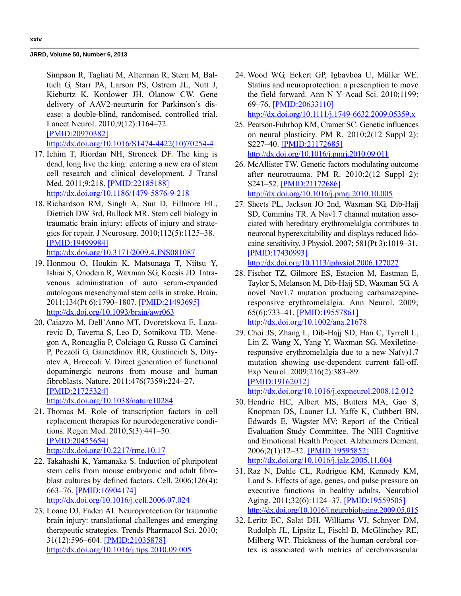Simpson R, Tagliati M, Alterman R, Stern M, Baltuch G, Starr PA, Larson PS, Ostrem JL, Nutt J, Kieburtz K, Kordower JH, Olanow CW. Gene delivery of AAV2-neurturin for Parkinson's disease: a double-blind, randomised, controlled trial. Lancet Neurol. 2010;9(12):1164–72. [\[PMID:20970382\]](http://www.ncbi.nlm.nih.gov/entrez/query.fcgi?cmd=Retrieve&db=PubMed&list_uids=20970382&dopt=Abstract)

[h](http://www.ncbi.nlm.nih.gov/entrez/query.fcgi?cmd=Retrieve&db=PubMed&list_uids=20970382&dopt=Abstract)[ttp://dx.doi.org/10.1016/S1474-4422\(10\)70254-4](http://dx.doi.org/10.1016/S1474-4422(10)70254-4)

- 17. Ichim T, Riordan NH, Stroncek DF. The king is dead, long live the king: entering a new era of stem cell research and clinical development. J Transl Med. 2011;9:218. [\[PMID:22185188\]](http://www.ncbi.nlm.nih.gov/entrez/query.fcgi?cmd=Retrieve&db=PubMed&list_uids=22185188&dopt=Abstract) [h](http://www.ncbi.nlm.nih.gov/entrez/query.fcgi?cmd=Retrieve&db=PubMed&list_uids=22185188&dopt=Abstract)[ttp://dx.doi.org/10.1186/1479-5876-9-218](http://dx.doi.org/10.1186/1479-5876-9-218)
- 18. Richardson RM, Singh A, Sun D, Fillmore HL, Dietrich DW 3rd, Bullock MR. Stem cell biology in traumatic brain injury: effects of injury and strategies for repair. J Neurosurg. 2010;112(5):1125–38. [\[PMID:19499984\]](http://www.ncbi.nlm.nih.gov/entrez/query.fcgi?cmd=Retrieve&db=PubMed&list_uids=19499984&dopt=Abstract) [h](http://www.ncbi.nlm.nih.gov/entrez/query.fcgi?cmd=Retrieve&db=PubMed&list_uids=19499984&dopt=Abstract)[ttp://dx.doi.org/10.3171/2009.4.JNS081087](http://dx.doi.org/10.3171/2009.4.JNS081087)
- 19. Honmou O, Houkin K, Matsunaga T, Niitsu Y, Ishiai S, Onodera R, Waxman SG, Kocsis JD. Intravenous administration of auto serum-expanded autologous mesenchymal stem cells in stroke. Brain. 2011;134(Pt 6):1790–1807. [\[PMID:21493695\]](http://www.ncbi.nlm.nih.gov/entrez/query.fcgi?cmd=Retrieve&db=PubMed&list_uids=21493695&dopt=Abstract) [h](http://www.ncbi.nlm.nih.gov/entrez/query.fcgi?cmd=Retrieve&db=PubMed&list_uids=21493695&dopt=Abstract)[ttp://dx.doi.org/10.1093/brain/awr063](http://dx.doi.org/10.1093/brain/awr063)
- 20. Caiazzo M, Dell'Anno MT, Dvoretskova E, Lazarevic D, Taverna S, Leo D, Sotnikova TD, Menegon A, Roncaglia P, Colciago G, Russo G, Carninci P, Pezzoli G, Gainetdinov RR, Gustincich S, Dityatev A, Broccoli V. Direct generation of functional dopaminergic neurons from mouse and human fibroblasts. Nature. 2011;476(7359):224–27. [\[PMID:21725324\]](http://www.ncbi.nlm.nih.gov/entrez/query.fcgi?cmd=Retrieve&db=PubMed&list_uids=21725324&dopt=Abstract)

[h](http://www.ncbi.nlm.nih.gov/entrez/query.fcgi?cmd=Retrieve&db=PubMed&list_uids=21725324&dopt=Abstract)[ttp://dx.doi.org/10.1038/nature10284](http://dx.doi.org/10.1038/nature10284)

- 21. Thomas M. Role of transcription factors in cell replacement therapies for neurodegenerative conditions. Regen Med. 2010;5(3):441–50. [\[PMID:20455654\]](http://www.ncbi.nlm.nih.gov/entrez/query.fcgi?cmd=Retrieve&db=PubMed&list_uids=20455654&dopt=Abstract) [h](http://www.ncbi.nlm.nih.gov/entrez/query.fcgi?cmd=Retrieve&db=PubMed&list_uids=20455654&dopt=Abstract)[ttp://dx.doi.org/10.2217/rme.10.17](http://dx.doi.org/10.2217/rme.10.17)
- 22. Takahashi K, Yamanaka S. Induction of pluripotent stem cells from mouse embryonic and adult fibroblast cultures by defined factors. Cell. 2006;126(4): 663–76. [\[PMID:16904174\]](http://www.ncbi.nlm.nih.gov/entrez/query.fcgi?cmd=Retrieve&db=PubMed&list_uids=16904174&dopt=Abstract) [h](http://www.ncbi.nlm.nih.gov/entrez/query.fcgi?cmd=Retrieve&db=PubMed&list_uids=16904174&dopt=Abstract)[ttp://dx.doi.org/10.1016/j.cell.2006.07.024](http://dx.doi.org/10.1016/j.cell.2006.07.024)
- 23. Loane DJ, Faden AI. Neuroprotection for traumatic brain injury: translational challenges and emerging therapeutic strategies. Trends Pharmacol Sci. 2010; 31(12):596–604. [\[PMID:21035878\]](http://www.ncbi.nlm.nih.gov/entrez/query.fcgi?cmd=Retrieve&db=PubMed&list_uids=21035878&dopt=Abstract) [h](http://www.ncbi.nlm.nih.gov/entrez/query.fcgi?cmd=Retrieve&db=PubMed&list_uids=21035878&dopt=Abstract)[ttp://dx.doi.org/10.1016/j.tips.2010.09.005](http://dx.doi.org/10.1016/j.tips.2010.09.005)
- 24. Wood WG, Eckert GP, Igbavboa U, Müller WE. Statins and neuroprotection: a prescription to move the field forward. Ann N Y Acad Sci. 2010;1199: 69–76. [\[PMID:20633110\]](http://www.ncbi.nlm.nih.gov/entrez/query.fcgi?cmd=Retrieve&db=PubMed&list_uids=20633110&dopt=Abstract) [h](http://www.ncbi.nlm.nih.gov/entrez/query.fcgi?cmd=Retrieve&db=PubMed&list_uids=20633110&dopt=Abstract)[ttp://dx.doi.org/10.1111/j.1749-6632.2009.05359.x](http://dx.doi.org/10.1111/j.1749-6632.2009.05359.x)
- 25. Pearson-Fuhrhop KM, Cramer SC. Genetic influences on neural plasticity. PM R. 2010;2(12 Suppl 2): S227–40. [\[PMID:21172685\]](http://www.ncbi.nlm.nih.gov/entrez/query.fcgi?cmd=Retrieve&db=PubMed&list_uids=21172685&dopt=Abstract) [h](http://www.ncbi.nlm.nih.gov/entrez/query.fcgi?cmd=Retrieve&db=PubMed&list_uids=21172685&dopt=Abstract)[ttp://dx.doi.org/10.1016/j.pmrj.2010.09.011](http://dx.doi.org/10.1016/j.pmrj.2010.09.011)
- 26. McAllister TW. Genetic factors modulating outcome after neurotrauma. PM R. 2010;2(12 Suppl 2): S241–52. [\[PMID:21172686\]](http://www.ncbi.nlm.nih.gov/entrez/query.fcgi?cmd=Retrieve&db=PubMed&list_uids=21172686&dopt=Abstract) [h](http://www.ncbi.nlm.nih.gov/entrez/query.fcgi?cmd=Retrieve&db=PubMed&list_uids=21172686&dopt=Abstract)[ttp://dx.doi.org/10.1016/j.pmrj.2010.10.005](http://dx.doi.org/10.1016/j.pmrj.2010.10.005)
- 27. Sheets PL, Jackson JO 2nd, Waxman SG, Dib-Hajj SD, Cummins TR. A Nav1.7 channel mutation associated with hereditary erythromelalgia contributes to neuronal hyperexcitability and displays reduced lidocaine sensitivity. J Physiol. 2007; 581(Pt 3):1019–31. [\[PMID:17430993\]](http://www.ncbi.nlm.nih.gov/entrez/query.fcgi?cmd=Retrieve&db=PubMed&list_uids=17430993&dopt=Abstract)

[h](http://www.ncbi.nlm.nih.gov/entrez/query.fcgi?cmd=Retrieve&db=PubMed&list_uids=17430993&dopt=Abstract)[ttp://dx.doi.org/10.1113/jphysiol.2006.127027](http://dx.doi.org/10.1113/jphysiol.2006.127027)

- 28. Fischer TZ, Gilmore ES, Estacion M, Eastman E, Taylor S, Melanson M, Dib-Hajj SD, Waxman SG. A novel Nav1.7 mutation producing carbamazepineresponsive erythromelalgia. Ann Neurol. 2009; 65(6):733–41. [\[PMID:19557861\]](http://www.ncbi.nlm.nih.gov/entrez/query.fcgi?cmd=Retrieve&db=PubMed&list_uids=19557861&dopt=Abstract) [h](http://www.ncbi.nlm.nih.gov/entrez/query.fcgi?cmd=Retrieve&db=PubMed&list_uids=19557861&dopt=Abstract)[ttp://dx.doi.org/10.1002/ana.21678](http://dx.doi.org/10.1002/ana.21678)
- 29. Choi JS, Zhang L, Dib-Hajj SD, Han C, Tyrrell L, Lin Z, Wang X, Yang Y, Waxman SG. Mexiletineresponsive erythromelalgia due to a new  $Na(v)1.7$ mutation showing use-dependent current fall-off. Exp Neurol. 2009;216(2):383–89. [\[PMID:19162012\]](http://www.ncbi.nlm.nih.gov/pubmed/19162012)

[h](http://www.ncbi.nlm.nih.gov/pubmed/19162012)[ttp://dx.doi.org/10.1016/j.expneurol.2008.12.012](http://dx.doi.org/10.1016/j.expneurol.2008.12.012)

- 30. Hendrie HC, Albert MS, Butters MA, Gao S, Knopman DS, Launer LJ, Yaffe K, Cuthbert BN, Edwards E, Wagster MV; Report of the Critical Evaluation Study Committee. The NIH Cognitive and Emotional Health Project. Alzheimers Dement. 2006;2(1):12–32. [\[PMID:19595852\]](http://www.ncbi.nlm.nih.gov/entrez/query.fcgi?cmd=Retrieve&db=PubMed&list_uids=19595852&dopt=Abstract) [h](http://www.ncbi.nlm.nih.gov/entrez/query.fcgi?cmd=Retrieve&db=PubMed&list_uids=19595852&dopt=Abstract)[ttp://dx.doi.org/10.1016/j.jalz.2005.11.004](http://dx.doi.org/10.1016/j.jalz.2005.11.004)
- 31. Raz N, Dahle CL, Rodrigue KM, Kennedy KM, Land S. Effects of age, genes, and pulse pressure on executive functions in healthy adults. Neurobiol Aging. 2011;32(6):1124–37. [\[PMID:19559505\]](http://www.ncbi.nlm.nih.gov/entrez/query.fcgi?cmd=Retrieve&db=PubMed&list_uids=19559505&dopt=Abstract) <http://dx.doi.org/10.1016/j.neurobiolaging.2009.05.015>
- 32. Leritz EC, Salat DH, Williams VJ, Schnyer DM, Rudolph JL, Lipsitz L, Fischl B, McGlinchey RE, Milberg WP. Thickness of the human cerebral cortex is associated with metrics of cerebrovascular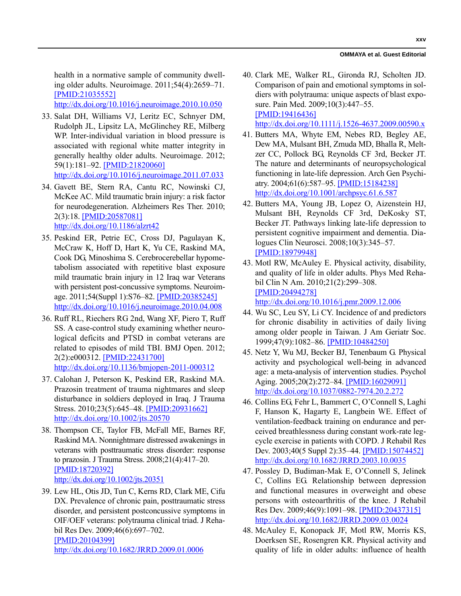#### **OMMAYA et al. Guest Editorial**

health in a normative sample of community dwelling older adults. Neuroimage. 2011;54(4):2659–71. [\[PMID:21035552\]](http://www.ncbi.nlm.nih.gov/entrez/query.fcgi?cmd=Retrieve&db=PubMed&list_uids=21035552&dopt=Abstract)

[h](http://www.ncbi.nlm.nih.gov/entrez/query.fcgi?cmd=Retrieve&db=PubMed&list_uids=21035552&dopt=Abstract)[ttp://dx.doi.org/10.1016/j.neuroimage.2010.10.050](http://dx.doi.org/10.1016/j.neuroimage.2010.10.050)

- 33. Salat DH, Williams VJ, Leritz EC, Schnyer DM, Rudolph JL, Lipsitz LA, McGlinchey RE, Milberg WP. Inter-individual variation in blood pressure is associated with regional white matter integrity in generally healthy older adults. Neuroimage. 2012; 59(1):181–92. [\[PMID:21820060\]](http://www.ncbi.nlm.nih.gov/entrez/query.fcgi?cmd=Retrieve&db=PubMed&list_uids=21820060&dopt=Abstract) [h](http://www.ncbi.nlm.nih.gov/entrez/query.fcgi?cmd=Retrieve&db=PubMed&list_uids=21820060&dopt=Abstract)[ttp://dx.doi.org/10.1016/j.neuroimage.2011.07.033](http://dx.doi.org/10.1016/j.neuroimage.2011.07.033)
- 34. Gavett BE, Stern RA, Cantu RC, Nowinski CJ, McKee AC. Mild traumatic brain injury: a risk factor for neurodegeneration. Alzheimers Res Ther. 2010; 2(3):18. [\[PMID:20587081\]](http://www.ncbi.nlm.nih.gov/entrez/query.fcgi?cmd=Retrieve&db=PubMed&list_uids=20587081&dopt=Abstract) [h](http://www.ncbi.nlm.nih.gov/entrez/query.fcgi?cmd=Retrieve&db=PubMed&list_uids=20587081&dopt=Abstract)[ttp://dx.doi.org/10.1186/alzrt42](http://dx.doi.org/10.1186/alzrt42)
- 35. Peskind ER, Petrie EC, Cross DJ, Pagulayan K, McCraw K, Hoff D, Hart K, Yu CE, Raskind MA, Cook DG, Minoshima S. Cerebrocerebellar hypometabolism associated with repetitive blast exposure mild traumatic brain injury in 12 Iraq war Veterans with persistent post-concussive symptoms. Neuroimage. 2011;54(Suppl 1):S76–82. [\[PMID:20385245\]](http://www.ncbi.nlm.nih.gov/entrez/query.fcgi?cmd=Retrieve&db=PubMed&list_uids=20385245&dopt=Abstract) [h](http://www.ncbi.nlm.nih.gov/entrez/query.fcgi?cmd=Retrieve&db=PubMed&list_uids=20385245&dopt=Abstract)[ttp://dx.doi.org/10.1016/j.neuroimage.2010.04.008](http://dx.doi.org/10.1016/j.neuroimage.2010.04.008)
- 36. Ruff RL, Riechers RG 2nd, Wang XF, Piero T, Ruff SS. A case-control study examining whether neurological deficits and PTSD in combat veterans are related to episodes of mild TBI. BMJ Open. 2012; 2(2):e000312. [\[PMID:22431700\]](http://www.ncbi.nlm.nih.gov/entrez/query.fcgi?cmd=Retrieve&db=PubMed&list_uids=22431700&dopt=Abstract) [h](http://www.ncbi.nlm.nih.gov/entrez/query.fcgi?cmd=Retrieve&db=PubMed&list_uids=22431700&dopt=Abstract)[ttp://dx.doi.org/10.1136/bmjopen-2011-000312](http://dx.doi.org/10.1136/bmjopen-2011-000312)
- 37. Calohan J, Peterson K, Peskind ER, Raskind MA. Prazosin treatment of trauma nightmares and sleep disturbance in soldiers deployed in Iraq. J Trauma Stress. 2010;23(5):645–48. [\[PMID:20931662\]](http://www.ncbi.nlm.nih.gov/entrez/query.fcgi?cmd=Retrieve&db=PubMed&list_uids=20931662&dopt=Abstract) [h](http://www.ncbi.nlm.nih.gov/entrez/query.fcgi?cmd=Retrieve&db=PubMed&list_uids=20931662&dopt=Abstract)[ttp://dx.doi.org/10.1002/jts.20570](http://dx.doi.org/10.1002/jts.20570)
- 38. Thompson CE, Taylor FB, McFall ME, Barnes RF, Raskind MA. Nonnightmare distressed awakenings in veterans with posttraumatic stress disorder: response to prazosin. J Trauma Stress. 2008;21(4):417–20. [\[PMID:18720392\]](http://www.ncbi.nlm.nih.gov/entrez/query.fcgi?cmd=Retrieve&db=PubMed&list_uids=18720392&dopt=Abstract) [h](http://www.ncbi.nlm.nih.gov/entrez/query.fcgi?cmd=Retrieve&db=PubMed&list_uids=18720392&dopt=Abstract)[ttp://dx.doi.org/10.1002/jts.20351](http://dx.doi.org/10.1002/jts.20351)
- 39. Lew HL, Otis JD, Tun C, Kerns RD, Clark ME, Cifu DX. Prevalence of chronic pain, posttraumatic stress disorder, and persistent postconcussive symptoms in OIF/OEF veterans: polytrauma clinical triad. J Rehabil Res Dev. 2009;46(6):697–702. [\[PMID:20104399\]](http://www.ncbi.nlm.nih.gov/entrez/query.fcgi?cmd=Retrieve&db=PubMed&list_uids=20104399&dopt=Abstract) [h](http://www.ncbi.nlm.nih.gov/entrez/query.fcgi?cmd=Retrieve&db=PubMed&list_uids=20104399&dopt=Abstract)[ttp://dx.doi.org/10.1682/JRRD.2009.01.0006](http://dx.doi.org/10.1682/JRRD.2009.01.0006)
- 40. Clark ME, Walker RL, Gironda RJ, Scholten JD. Comparison of pain and emotional symptoms in soldiers with polytrauma: unique aspects of blast exposure. Pain Med. 2009;10(3):447–55. [\[PMID:19416436\]](http://www.ncbi.nlm.nih.gov/entrez/query.fcgi?cmd=Retrieve&db=PubMed&list_uids=19416436&dopt=Abstract) [h](http://www.ncbi.nlm.nih.gov/entrez/query.fcgi?cmd=Retrieve&db=PubMed&list_uids=19416436&dopt=Abstract)[ttp://dx.doi.org/10.1111/j.1526-4637.2009.00590.x](http://dx.doi.org/10.1111/j.1526-4637.2009.00590.x)
- 41. Butters MA, Whyte EM, Nebes RD, Begley AE, Dew MA, Mulsant BH, Zmuda MD, Bhalla R, Meltzer CC, Pollock BG, Reynolds CF 3rd, Becker JT. The nature and determinants of neuropsychological functioning in late-life depression. Arch Gen Psychiatry. 2004;61(6):587–95. [\[PMID:15184238\]](http://www.ncbi.nlm.nih.gov/entrez/query.fcgi?cmd=Retrieve&db=PubMed&list_uids=15184238&dopt=Abstract) [h](http://www.ncbi.nlm.nih.gov/entrez/query.fcgi?cmd=Retrieve&db=PubMed&list_uids=15184238&dopt=Abstract)[ttp://dx.doi.org/10.1001/archpsyc.61.6.587](http://dx.doi.org/10.1001/archpsyc.61.6.587)
- 42. Butters MA, Young JB, Lopez O, Aizenstein HJ, Mulsant BH, Reynolds CF 3rd, DeKosky ST, Becker JT. Pathways linking late-life depression to persistent cognitive impairment and dementia. Dialogues Clin Neurosci. 2008;10(3):345–57. [\[PMID:18979948\]](http://www.ncbi.nlm.nih.gov/entrez/query.fcgi?cmd=Retrieve&db=PubMed&list_uids=18979948&dopt=Abstract)
- 43. Motl RW, McAuley E. Physical activity, disability, and quality of life in older adults. Phys Med Rehabil Clin N Am. 2010;21(2):299–308. [\[PMID:20494278\]](http://www.ncbi.nlm.nih.gov/entrez/query.fcgi?cmd=Retrieve&db=PubMed&list_uids=20494278&dopt=Abstract) [h](http://www.ncbi.nlm.nih.gov/entrez/query.fcgi?cmd=Retrieve&db=PubMed&list_uids=20494278&dopt=Abstract)[ttp://dx.doi.org/10.1016/j.pmr.2009.12.006](http://dx.doi.org/10.1016/j.pmr.2009.12.006)
- 44. Wu SC, Leu SY, Li CY. Incidence of and predictors for chronic disability in activities of daily living among older people in Taiwan. J Am Geriatr Soc. 1999;47(9):1082–86. [\[PMID:10484250\]](http://www.ncbi.nlm.nih.gov/entrez/query.fcgi?cmd=Retrieve&db=PubMed&list_uids=10484250&dopt=Abstract)
- 45. Netz Y, Wu MJ, Becker BJ, Tenenbaum G. Physical activity and psychological well-being in advanced age: a meta-analysis of intervention studies. Psychol Aging. 2005;20(2):272–84. [\[PMID:16029091\]](http://www.ncbi.nlm.nih.gov/entrez/query.fcgi?cmd=Retrieve&db=PubMed&list_uids=16029091&dopt=Abstract) [h](http://www.ncbi.nlm.nih.gov/entrez/query.fcgi?cmd=Retrieve&db=PubMed&list_uids=16029091&dopt=Abstract)[ttp://dx.doi.org/10.1037/0882-7974.20.2.272](http://dx.doi.org/10.1037/0882-7974.20.2.272)
- 46. Collins EG, Fehr L, Bammert C, O'Connell S, Laghi F, Hanson K, Hagarty E, Langbein WE. Effect of ventilation-feedback training on endurance and perceived breathlessness during constant work-rate legcycle exercise in patients with COPD. J Rehabil Res Dev. 2003;40(5 Suppl 2):35–44. [\[PMID:15074452\]](http://www.ncbi.nlm.nih.gov/entrez/query.fcgi?cmd=Retrieve&db=PubMed&list_uids=15074452&dopt=Abstract) http://dx.doi.org/10.1682/JRRD.2003.10.0035
- 47. Possley D, Budiman-Mak E, O'Connell S, Jelinek C, Collins EG. Relationship between depression and functional measures in overweight and obese persons with osteoarthritis of the knee. J Rehabil Res Dev. 2009;46(9):1091–98. [\[PMID:20437315\]](http://www.ncbi.nlm.nih.gov/entrez/query.fcgi?cmd=Retrieve&db=PubMed&list_uids=20437315&dopt=Abstract) http://dx.doi.org/10.1682/JRRD.2009.03.0024
- 48. McAuley E, Konopack JF, Motl RW, Morris KS, Doerksen SE, Rosengren KR. Physical activity and quality of life in older adults: influence of health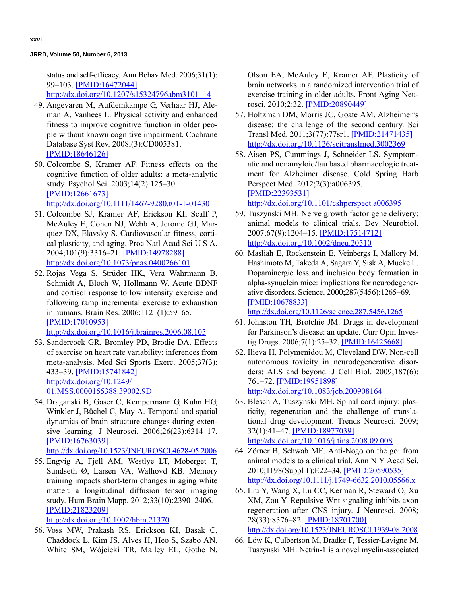status and self-efficacy. Ann Behav Med. 2006;31(1): 99–103. [\[PMID:16472044\]](http://www.ncbi.nlm.nih.gov/entrez/query.fcgi?cmd=Retrieve&db=PubMed&list_uids=16472044&dopt=Abstract)

http://dx.doi.org/10.1207/s15324796abm3101\_14

- 49. Angevaren M, Aufdemkampe G, Verhaar HJ, Aleman A, Vanhees L. Physical activity and enhanced fitness to improve cognitive function in older people without known cognitive impairment. Cochrane Database Syst Rev. 2008;(3):CD005381. [\[PMID:18646126\]](http://www.ncbi.nlm.nih.gov/entrez/query.fcgi?cmd=Retrieve&db=PubMed&list_uids=18646126&dopt=Abstract)
- 50. Colcombe S, Kramer AF. Fitness effects on the cognitive function of older adults: a meta-analytic study. Psychol Sci. 2003;14(2):125–30. [\[PMID:12661673\]](http://www.ncbi.nlm.nih.gov/entrez/query.fcgi?cmd=Retrieve&db=PubMed&list_uids=12661673&dopt=Abstract) http://dx.doi.org/10.1111/1467-9280.t01-1-01430
- 51. Colcombe SJ, Kramer AF, Erickson KI, Scalf P, McAuley E, Cohen NJ, Webb A, Jerome GJ, Marquez DX, Elavsky S. Cardiovascular fitness, cortical plasticity, and aging. Proc Natl Acad Sci U S A. 2004;101(9):3316–21. [\[PMID:14978288\]](http://www.ncbi.nlm.nih.gov/entrez/query.fcgi?cmd=Retrieve&db=PubMed&list_uids=14978288&dopt=Abstract) [h](http://www.ncbi.nlm.nih.gov/entrez/query.fcgi?cmd=Retrieve&db=PubMed&list_uids=14978288&dopt=Abstract)[ttp://dx.doi.org/10.1073/pnas.0400266101](http://dx.doi.org/10.1073/pnas.0400266101)
- 52. Rojas Vega S, Strüder HK, Vera Wahrmann B, Schmidt A, Bloch W, Hollmann W. Acute BDNF and cortisol response to low intensity exercise and following ramp incremental exercise to exhaustion in humans. Brain Res. 2006;1121(1):59–65. [\[PMID:17010953\]](http://www.ncbi.nlm.nih.gov/entrez/query.fcgi?cmd=Retrieve&db=PubMed&list_uids=17010953&dopt=Abstract) [h](http://www.ncbi.nlm.nih.gov/entrez/query.fcgi?cmd=Retrieve&db=PubMed&list_uids=17010953&dopt=Abstract)[ttp://dx.doi.org/10.1016/j.brainres.2006.08.105](http://dx.doi.org/10.1016/j.brainres.2006.08.105)
- 53. Sandercock GR, Bromley PD, Brodie DA. Effects of exercise on heart rate variability: inferences from meta-analysis. Med Sci Sports Exerc. 2005;37(3): 433–39. [\[PMID:15741842\]](http://www.ncbi.nlm.nih.gov/entrez/query.fcgi?cmd=Retrieve&db=PubMed&list_uids=15741842&dopt=Abstract) [h](http://www.ncbi.nlm.nih.gov/entrez/query.fcgi?cmd=Retrieve&db=PubMed&list_uids=15741842&dopt=Abstract)[ttp://dx.doi.org/10.1249/](http://dx.doi.org/10.1249/01.MSS.0000155388.39002.9D) [01.MSS.0000155388.39002.9D](http://dx.doi.org/10.1249/01.MSS.0000155388.39002.9D)
- 54. Draganski B, Gaser C, Kempermann G, Kuhn HG, Winkler J, Büchel C, May A. Temporal and spatial dynamics of brain structure changes during extensive learning. J Neurosci. 2006;26(23):6314–17. [\[PMID:16763039\]](http://www.ncbi.nlm.nih.gov/entrez/query.fcgi?cmd=Retrieve&db=PubMed&list_uids=16763039&dopt=Abstract)

```
http://dx.doi.org/10.1523/JNEUROSCI.4628-05.2006
```
- 55. Engvig A, Fjell AM, Westlye LT, Moberget T, Sundseth Ø, Larsen VA, Walhovd KB. Memory training impacts short-term changes in aging white matter: a longitudinal diffusion tensor imaging study. Hum Brain Mapp. 2012;33(10):2390–2406. [\[PMID:21823209\]](http://www.ncbi.nlm.nih.gov/entrez/query.fcgi?cmd=Retrieve&db=PubMed&list_uids=21823209&dopt=Abstract) [h](http://www.ncbi.nlm.nih.gov/entrez/query.fcgi?cmd=Retrieve&db=PubMed&list_uids=21823209&dopt=Abstract)[ttp://dx.doi.org/10.1002/hbm.21370](http://dx.doi.org/10.1002/hbm.21370)
- 56. Voss MW, Prakash RS, Erickson KI, Basak C, Chaddock L, Kim JS, Alves H, Heo S, Szabo AN, White SM, Wójcicki TR, Mailey EL, Gothe N,

Olson EA, McAuley E, Kramer AF. Plasticity of brain networks in a randomized intervention trial of exercise training in older adults. Front Aging Neurosci. 2010;2:32. [\[PMID:20890449\]](http://www.ncbi.nlm.nih.gov/entrez/query.fcgi?cmd=Retrieve&db=PubMed&list_uids=20890449&dopt=Abstract)

- 57. Holtzman DM, Morris JC, Goate AM. Alzheimer's disease: the challenge of the second century. Sci Transl Med. 2011;3(77):77sr1. [\[PMID:21471435\]](http://www.ncbi.nlm.nih.gov/pubmed/21471435) [h](http://www.ncbi.nlm.nih.gov/pubmed/21471435)[ttp://dx.doi.org/10.1126/scitranslmed.3002369](http://dx.doi.org/10.1126/scitranslmed.3002369)
- 58. Aisen PS, Cummings J, Schneider LS. Symptomatic and nonamyloid/tau based pharmacologic treatment for Alzheimer disease. Cold Spring Harb Perspect Med. 2012;2(3):a006395. [\[PMID:22393531\]](http://www.ncbi.nlm.nih.gov/entrez/query.fcgi?cmd=Retrieve&db=PubMed&list_uids=22393531&dopt=Abstract)

[h](http://www.ncbi.nlm.nih.gov/entrez/query.fcgi?cmd=Retrieve&db=PubMed&list_uids=22393531&dopt=Abstract)[ttp://dx.doi.org/10.1101/cshperspect.a006395](http://dx.doi.org/10.1101/cshperspect.a006395)

- 59. Tuszynski MH. Nerve growth factor gene delivery: animal models to clinical trials. Dev Neurobiol. 2007;67(9):1204–15. [\[PMID:17514712\]](http://www.ncbi.nlm.nih.gov/entrez/query.fcgi?cmd=Retrieve&db=PubMed&list_uids=17514712&dopt=Abstract) [h](http://www.ncbi.nlm.nih.gov/entrez/query.fcgi?cmd=Retrieve&db=PubMed&list_uids=17514712&dopt=Abstract)[ttp://dx.doi.org/10.1002/dneu.20510](http://dx.doi.org/10.1002/dneu.20510)
- 60. Masliah E, Rockenstein E, Veinbergs I, Mallory M, Hashimoto M, Takeda A, Sagara Y, Sisk A, Mucke L. Dopaminergic loss and inclusion body formation in alpha-synuclein mice: implications for neurodegenerative disorders. Science. 2000;287(5456):1265–69. [\[PMID:10678833\]](http://www.ncbi.nlm.nih.gov/entrez/query.fcgi?cmd=Retrieve&db=PubMed&list_uids=10678833&dopt=Abstract)

[h](http://www.ncbi.nlm.nih.gov/entrez/query.fcgi?cmd=Retrieve&db=PubMed&list_uids=10678833&dopt=Abstract)[ttp://dx.doi.org/10.1126/science.287.5456.1265](http://dx.doi.org/10.1126/science.287.5456.1265)

- 61. Johnston TH, Brotchie JM. Drugs in development for Parkinson's disease: an update. Curr Opin Investig Drugs. 2006;7(1):25–32. [\[PMID:16425668\]](http://www.ncbi.nlm.nih.gov/entrez/query.fcgi?cmd=Retrieve&db=PubMed&list_uids=16425668&dopt=Abstract)
- 62. Ilieva H, Polymenidou M, Cleveland DW. Non-cell autonomous toxicity in neurodegenerative disorders: ALS and beyond. J Cell Biol. 2009;187(6): 761–72. [\[PMID:19951898\]](http://www.ncbi.nlm.nih.gov/entrez/query.fcgi?cmd=Retrieve&db=PubMed&list_uids=19951898&dopt=Abstract) [h](http://www.ncbi.nlm.nih.gov/entrez/query.fcgi?cmd=Retrieve&db=PubMed&list_uids=19951898&dopt=Abstract)[ttp://dx.doi.org/10.1083/jcb.200908164](http://dx.doi.org/10.1083/jcb.200908164)
- 63. Blesch A, Tuszynski MH. Spinal cord injury: plasticity, regeneration and the challenge of translational drug development. Trends Neurosci. 2009; 32(1):41–47. [\[PMID:18977039\]](http://www.ncbi.nlm.nih.gov/entrez/query.fcgi?cmd=Retrieve&db=PubMed&list_uids=18977039&dopt=Abstract) [h](http://www.ncbi.nlm.nih.gov/entrez/query.fcgi?cmd=Retrieve&db=PubMed&list_uids=18977039&dopt=Abstract)[ttp://dx.doi.org/10.1016/j.tins.2008.09.008](http://dx.doi.org/10.1016/j.tins.2008.09.008)
- 64. Zörner B, Schwab ME. Anti-Nogo on the go: from animal models to a clinical trial. Ann N Y Acad Sci. 2010;1198(Suppl 1):E22–34. [\[PMID:20590535\]](http://www.ncbi.nlm.nih.gov/entrez/query.fcgi?cmd=Retrieve&db=PubMed&list_uids=20590535&dopt=Abstract) [h](http://www.ncbi.nlm.nih.gov/entrez/query.fcgi?cmd=Retrieve&db=PubMed&list_uids=20590535&dopt=Abstract)[ttp://dx.doi.org/10.1111/j.1749-6632.2010.05566.x](http://dx.doi.org/10.1111/j.1749-6632.2010.05566.x)
- 65. Liu Y, Wang X, Lu CC, Kerman R, Steward O, Xu XM, Zou Y. Repulsive Wnt signaling inhibits axon regeneration after CNS injury. J Neurosci. 2008; 28(33):8376–82. [\[PMID:18701700\]](http://www.ncbi.nlm.nih.gov/entrez/query.fcgi?cmd=Retrieve&db=PubMed&list_uids=18701700&dopt=Abstract) [h](http://www.ncbi.nlm.nih.gov/entrez/query.fcgi?cmd=Retrieve&db=PubMed&list_uids=18701700&dopt=Abstract)[ttp://dx.doi.org/10.1523/JNEUROSCI.1939-08.2008](http://dx.doi.org/10.1523/JNEUROSCI.1939-08.2008)
- 66. Löw K, Culbertson M, Bradke F, Tessier-Lavigne M, Tuszynski MH. Netrin-1 is a novel myelin-associated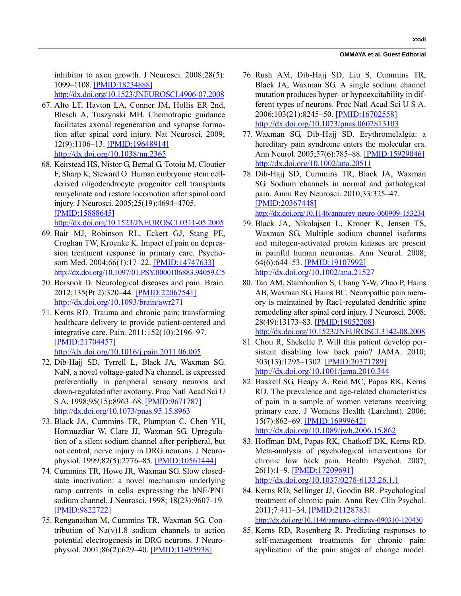#### **OMMAYA et al. Guest Editorial**

inhibitor to axon growth. J Neurosci. 2008;28(5): 1099–1108. [\[PMID:18234888\]](http://www.ncbi.nlm.nih.gov/entrez/query.fcgi?cmd=Retrieve&db=PubMed&list_uids=18234888&dopt=Abstract) [h](http://www.ncbi.nlm.nih.gov/entrez/query.fcgi?cmd=Retrieve&db=PubMed&list_uids=18234888&dopt=Abstract)[ttp://dx.doi.org/10.1523/JNEUROSCI.4906-07.2008](http://dx.doi.org/10.1523/JNEUROSCI.4906-07.2008)

- 67. Alto LT, Havton LA, Conner JM, Hollis ER 2nd, Blesch A, Tuszynski MH. Chemotropic guidance facilitates axonal regeneration and synapse formation after spinal cord injury. Nat Neurosci. 2009; 12(9):1106–13. [\[PMID:19648914\]](http://www.ncbi.nlm.nih.gov/entrez/query.fcgi?cmd=Retrieve&db=PubMed&list_uids=19648914&dopt=Abstract) [h](http://www.ncbi.nlm.nih.gov/entrez/query.fcgi?cmd=Retrieve&db=PubMed&list_uids=19648914&dopt=Abstract)[ttp://dx.doi.org/10.1038/nn.2365](http://dx.doi.org/10.1038/nn.2365)
- 68. Keirstead HS, Nistor G, Bernal G, Totoiu M, Cloutier F, Sharp K, Steward O. Human embryonic stem cellderived oligodendrocyte progenitor cell transplants remyelinate and restore locomotion after spinal cord injury. J Neurosci. 2005;25(19):4694–4705. [\[PMID:15888645\]](http://www.ncbi.nlm.nih.gov/entrez/query.fcgi?cmd=Retrieve&db=PubMed&list_uids=15888645&dopt=Abstract)

[h](http://www.ncbi.nlm.nih.gov/entrez/query.fcgi?cmd=Retrieve&db=PubMed&list_uids=15888645&dopt=Abstract)[ttp://dx.doi.org/10.1523/JNEUROSCI.0311-05.2005](http://dx.doi.org/10.1523/JNEUROSCI.0311-05.2005)

- 69. Bair MJ, Robinson RL, Eckert GJ, Stang PE, Croghan TW, Kroenke K. Impact of pain on depression treatment response in primary care. Psychosom Med. 2004;66(1):17–22. [\[PMID:14747633\]](http://www.ncbi.nlm.nih.gov/entrez/query.fcgi?cmd=Retrieve&db=PubMed&list_uids=14747633&dopt=Abstract) <http://dx.doi.org/10.1097/01.PSY.0000106883.94059.C5>
- 70. Borsook D. Neurological diseases and pain. Brain. 2012;135(Pt 2):320–44. [\[PMID:22067541\]](http://www.ncbi.nlm.nih.gov/entrez/query.fcgi?cmd=Retrieve&db=PubMed&list_uids=22067541&dopt=Abstract) [h](http://www.ncbi.nlm.nih.gov/entrez/query.fcgi?cmd=Retrieve&db=PubMed&list_uids=22067541&dopt=Abstract)[ttp://dx.doi.org/10.1093/brain/awr271](http://dx.doi.org/10.1093/brain/awr271)
- 71. Kerns RD. Trauma and chronic pain: transforming healthcare delivery to provide patient-centered and integrative care. Pain. 2011;152(10):2196–97. [\[PMID:21704457\]](http://www.ncbi.nlm.nih.gov/entrez/query.fcgi?cmd=Retrieve&db=PubMed&list_uids=21704457&dopt=Abstract) [h](http://www.ncbi.nlm.nih.gov/entrez/query.fcgi?cmd=Retrieve&db=PubMed&list_uids=21704457&dopt=Abstract)[ttp://dx.doi.org/10.1016/j.pain.2011.06.005](http://dx.doi.org/10.1016/j.pain.2011.06.005)
- 72. Dib-Hajj SD, Tyrrell L, Black JA, Waxman SG. NaN, a novel voltage-gated Na channel, is expressed preferentially in peripheral sensory neurons and down-regulated after axotomy. Proc Natl Acad Sci U S A. 1998;95(15):8963–68. [\[PMID:9671787\]](http://www.ncbi.nlm.nih.gov/entrez/query.fcgi?cmd=Retrieve&db=PubMed&list_uids=9671787&dopt=Abstract) [h](http://www.ncbi.nlm.nih.gov/entrez/query.fcgi?cmd=Retrieve&db=PubMed&list_uids=9671787&dopt=Abstract)[ttp://dx.doi.org/10.1073/pnas.95.15.8963](http://dx.doi.org/10.1073/pnas.95.15.8963)
- 73. Black JA, Cummins TR, Plumpton C, Chen YH, Hormuzdiar W, Clare JJ, Waxman SG. Upregulation of a silent sodium channel after peripheral, but not central, nerve injury in DRG neurons. J Neurophysiol. 1999;82(5):2776–85. [\[PMID:10561444\]](http://www.ncbi.nlm.nih.gov/entrez/query.fcgi?cmd=Retrieve&db=PubMed&list_uids=10561444&dopt=Abstract)
- 74. Cummins TR, Howe JR, Waxman SG. Slow closedstate inactivation: a novel mechanism underlying ramp currents in cells expressing the hNE/PN1 sodium channel. J Neurosci. 1998; 18(23):9607–19. [\[PMID:9822722\]](http://www.ncbi.nlm.nih.gov/entrez/query.fcgi?cmd=Retrieve&db=PubMed&list_uids=9822722&dopt=Abstract)
- 75. Renganathan M, Cummins TR, Waxman SG. Contribution of  $Na(v)1.8$  sodium channels to action potential electrogenesis in DRG neurons. J Neurophysiol. 2001;86(2):629–40. [\[PMID:11495938\]](http://www.ncbi.nlm.nih.gov/entrez/query.fcgi?cmd=Retrieve&db=PubMed&list_uids=11495938&dopt=Abstract)
- 76. Rush AM, Dib-Hajj SD, Liu S, Cummins TR, Black JA, Waxman SG. A single sodium channel mutation produces hyper- or hypoexcitability in different types of neurons. Proc Natl Acad Sci U S A. 2006;103(21):8245–50. [\[PMID:16702558\]](http://www.ncbi.nlm.nih.gov/entrez/query.fcgi?cmd=Retrieve&db=PubMed&list_uids=16702558&dopt=Abstract) [h](http://www.ncbi.nlm.nih.gov/entrez/query.fcgi?cmd=Retrieve&db=PubMed&list_uids=16702558&dopt=Abstract)[ttp://dx.doi.org/10.1073/pnas.0602813103](http://dx.doi.org/10.1073/pnas.0602813103)
- 77. Waxman SG, Dib-Hajj SD. Erythromelalgia: a hereditary pain syndrome enters the molecular era. Ann Neurol. 2005;57(6):785–88. [\[PMID:15929046\]](http://www.ncbi.nlm.nih.gov/entrez/query.fcgi?cmd=Retrieve&db=PubMed&list_uids=15929046&dopt=Abstract) [h](http://www.ncbi.nlm.nih.gov/entrez/query.fcgi?cmd=Retrieve&db=PubMed&list_uids=15929046&dopt=Abstract)[ttp://dx.doi.org/10.1002/ana.20511](http://dx.doi.org/10.1002/ana.20511)
- 78. Dib-Hajj SD, Cummins TR, Black JA, Waxman SG. Sodium channels in normal and pathological pain. Annu Rev Neurosci. 2010;33:325–47. [\[PMID:20367448\]](http://www.ncbi.nlm.nih.gov/entrez/query.fcgi?cmd=Retrieve&db=PubMed&list_uids=20367448&dopt=Abstract) <http://dx.doi.org/10.1146/annurev-neuro-060909-153234>

- 79. Black JA, Nikolajsen L, Kroner K, Jensen TS, Waxman SG. Multiple sodium channel isoforms and mitogen-activated protein kinases are present in painful human neuromas. Ann Neurol. 2008; 64(6):644–53. [\[PMID:19107992\]](http://www.ncbi.nlm.nih.gov/entrez/query.fcgi?cmd=Retrieve&db=PubMed&list_uids=19107992&dopt=Abstract) [h](http://www.ncbi.nlm.nih.gov/entrez/query.fcgi?cmd=Retrieve&db=PubMed&list_uids=19107992&dopt=Abstract)[ttp://dx.doi.org/10.1002/ana.21527](http://dx.doi.org/10.1002/ana.21527)
- 80. Tan AM, Stamboulian S, Chang Y-W, Zhao P, Hains AB, Waxman SG, Hains BC. Neuropathic pain memory is maintained by Rac1-regulated dendritic spine remodeling after spinal cord injury. J Neurosci. 2008; 28(49):13173–83. [\[PMID:19052208\]](http://www.ncbi.nlm.nih.gov/entrez/query.fcgi?cmd=Retrieve&db=PubMed&list_uids=19052208&dopt=Abstract) [h](http://www.ncbi.nlm.nih.gov/entrez/query.fcgi?cmd=Retrieve&db=PubMed&list_uids=19052208&dopt=Abstract)[ttp://dx.doi.org/10.1523/JNEUROSCI.3142-08.2008](http://dx.doi.org/10.1523/JNEUROSCI.3142-08.2008)
- 81. Chou R, Shekelle P. Will this patient develop persistent disabling low back pain? JAMA. 2010; 303(13):1295–1302. [\[PMID:20371789\]](http://www.ncbi.nlm.nih.gov/entrez/query.fcgi?cmd=Retrieve&db=PubMed&list_uids=20371789&dopt=Abstract) [h](http://www.ncbi.nlm.nih.gov/entrez/query.fcgi?cmd=Retrieve&db=PubMed&list_uids=20371789&dopt=Abstract)[ttp://dx.doi.org/10.1001/jama.2010.344](http://dx.doi.org/10.1001/jama.2010.344)
- 82. Haskell SG, Heapy A, Reid MC, Papas RK, Kerns RD. The prevalence and age-related characteristics of pain in a sample of women veterans receiving primary care. J Womens Health (Larchmt). 2006; 15(7):862–69. [\[PMID:16999642\]](http://www.ncbi.nlm.nih.gov/entrez/query.fcgi?cmd=Retrieve&db=PubMed&list_uids=16999642&dopt=Abstract) [h](http://www.ncbi.nlm.nih.gov/entrez/query.fcgi?cmd=Retrieve&db=PubMed&list_uids=16999642&dopt=Abstract)[ttp://dx.doi.org/10.1089/jwh.2006.15.862](http://dx.doi.org/10.1089/jwh.2006.15.862)
- 83. Hoffman BM, Papas RK, Chatkoff DK, Kerns RD. Meta-analysis of psychological interventions for chronic low back pain. Health Psychol. 2007; 26(1):1–9. [\[PMID:17209691\]](http://www.ncbi.nlm.nih.gov/entrez/query.fcgi?cmd=Retrieve&db=PubMed&list_uids=17209691&dopt=Abstract) [h](http://www.ncbi.nlm.nih.gov/entrez/query.fcgi?cmd=Retrieve&db=PubMed&list_uids=17209691&dopt=Abstract)[ttp://dx.doi.org/10.1037/0278-6133.26.1.1](http://dx.doi.org/10.1037/0278-6133.26.1.1)
- 84. Kerns RD, Sellinger JJ, Goodin BR. Psychological treatment of chronic pain. Annu Rev Clin Psychol. 2011;7:411–34. [\[PMID:21128783\]](http://www.ncbi.nlm.nih.gov/entrez/query.fcgi?cmd=Retrieve&db=PubMed&list_uids=21128783&dopt=Abstract) <http://dx.doi.org/10.1146/annurev-clinpsy-090310-120430>
- 85. Kerns RD, Rosenberg R. Predicting responses to self-management treatments for chronic pain: application of the pain stages of change model.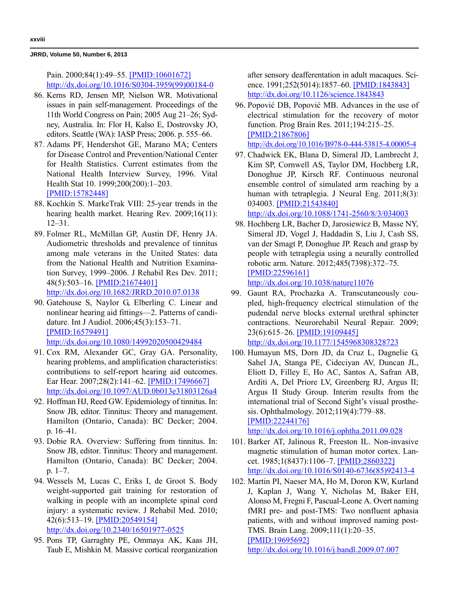Pain. 2000;84(1):49–55. [\[PMID:10601672\]](http://www.ncbi.nlm.nih.gov/entrez/query.fcgi?cmd=Retrieve&db=PubMed&list_uids=10601672&dopt=Abstract) [h](http://www.ncbi.nlm.nih.gov/entrez/query.fcgi?cmd=Retrieve&db=PubMed&list_uids=10601672&dopt=Abstract)[ttp://dx.doi.org/10.1016/S0304-3959\(99\)00184-0](http://dx.doi.org/10.1016/S0304-3959(99)00184-0)

- 86. Kerns RD, Jensen MP, Nielson WR. Motivational issues in pain self-management. Proceedings of the 11th World Congress on Pain; 2005 Aug 21–26; Sydney, Australia. In: Flor H, Kalso E, Dostrovsky JO, editors. Seattle (WA): IASP Press; 2006. p. 555–66.
- 87. Adams PF, Hendershot GE, Marano MA; Centers for Disease Control and Prevention/National Center for Health Statistics. Current estimates from the National Health Interview Survey, 1996. Vital Health Stat 10. 1999;200(200):1–203. [\[PMID:15782448\]](http://www.ncbi.nlm.nih.gov/entrez/query.fcgi?cmd=Retrieve&db=PubMed&list_uids=15782448&dopt=Abstract)
- 88. Kochkin S. MarkeTrak VIII: 25-year trends in the hearing health market. Hearing Rev. 2009;16(11): 12–31.
- 89. Folmer RL, McMillan GP, Austin DF, Henry JA. Audiometric thresholds and prevalence of tinnitus among male veterans in the United States: data from the National Health and Nutrition Examination Survey, 1999–2006. J Rehabil Res Dev. 2011; 48(5):503–16. [\[PMID:21674401\]](http://www.ncbi.nlm.nih.gov/entrez/query.fcgi?cmd=Retrieve&db=PubMed&list_uids=21674401&dopt=Abstract) [h](http://www.ncbi.nlm.nih.gov/entrez/query.fcgi?cmd=Retrieve&db=PubMed&list_uids=21674401&dopt=Abstract)[ttp://dx.doi.org/10.1682/JRRD.2010.07.0138](http://dx.doi.org/10.1682/JRRD.2010.07.0138)
- 90. Gatehouse S, Naylor G, Elberling C. Linear and nonlinear hearing aid fittings—2. Patterns of candidature. Int J Audiol. 2006;45(3):153–71. [\[PMID:16579491\]](http://www.ncbi.nlm.nih.gov/entrez/query.fcgi?cmd=Retrieve&db=PubMed&list_uids=16579491&dopt=Abstract) [h](http://www.ncbi.nlm.nih.gov/entrez/query.fcgi?cmd=Retrieve&db=PubMed&list_uids=16579491&dopt=Abstract)[ttp://dx.doi.org/10.1080/14992020500429484](http://dx.doi.org/10.1080/14992020500429484)
- 91. Cox RM, Alexander GC, Gray GA. Personality, hearing problems, and amplification characteristics: contributions to self-report hearing aid outcomes. Ear Hear. 2007;28(2):141–62. [\[PMID:17496667\]](http://www.ncbi.nlm.nih.gov/entrez/query.fcgi?cmd=Retrieve&db=PubMed&list_uids=17496667&dopt=Abstract) [h](http://www.ncbi.nlm.nih.gov/entrez/query.fcgi?cmd=Retrieve&db=PubMed&list_uids=17496667&dopt=Abstract)[ttp://dx.doi.org/10.1097/AUD.0b013e31803126a4](http://dx.doi.org/10.1097/AUD.0b013e31803126a4)
- 92. Hoffman HJ, Reed GW. Epidemiology of tinnitus. In: Snow JB, editor. Tinnitus: Theory and management. Hamilton (Ontario, Canada): BC Decker; 2004. p. 16–41.
- 93. Dobie RA. Overview: Suffering from tinnitus. In: Snow JB, editor. Tinnitus: Theory and management. Hamilton (Ontario, Canada): BC Decker; 2004. p. 1–7.
- 94. Wessels M, Lucas C, Eriks I, de Groot S. Body weight-supported gait training for restoration of walking in people with an incomplete spinal cord injury: a systematic review. J Rehabil Med. 2010; 42(6):513–19. [\[PMID:20549154\]](http://www.ncbi.nlm.nih.gov/entrez/query.fcgi?cmd=Retrieve&db=PubMed&list_uids=20549154&dopt=Abstract) [h](http://www.ncbi.nlm.nih.gov/entrez/query.fcgi?cmd=Retrieve&db=PubMed&list_uids=20549154&dopt=Abstract)[ttp://dx.doi.org/10.2340/16501977-0525](http://dx.doi.org/10.2340/16501977-0525)
- 95. Pons TP, Garraghty PE, Ommaya AK, Kaas JH, Taub E, Mishkin M. Massive cortical reorganization

after sensory deafferentation in adult macaques. Science. 1991;252(5014):1857–60. [\[PMID:1843843\]](http://www.ncbi.nlm.nih.gov/entrez/query.fcgi?cmd=Retrieve&db=PubMed&list_uids=1843843&dopt=Abstract) [h](http://www.ncbi.nlm.nih.gov/entrez/query.fcgi?cmd=Retrieve&db=PubMed&list_uids=1843843&dopt=Abstract)[ttp://dx.doi.org/10.1126/science.1843843](http://dx.doi.org/10.1126/science.1843843)

- 96. Popović DB, Popović MB. Advances in the use of electrical stimulation for the recovery of motor function. Prog Brain Res. 2011;194:215–25. [\[PMID:21867806\]](http://www.ncbi.nlm.nih.gov/entrez/query.fcgi?cmd=Retrieve&db=PubMed&list_uids=21867806&dopt=Abstract) <http://dx.doi.org/10.1016/B978-0-444-53815-4.00005-4>
- 97. Chadwick EK, Blana D, Simeral JD, Lambrecht J, Kim SP, Cornwell AS, Taylor DM, Hochberg LR, Donoghue JP, Kirsch RF. Continuous neuronal ensemble control of simulated arm reaching by a human with tetraplegia. J Neural Eng. 2011;8(3): 034003. [\[PMID:21543840\]](http://www.ncbi.nlm.nih.gov/entrez/query.fcgi?cmd=Retrieve&db=PubMed&list_uids=21543840&dopt=Abstract) [h](http://www.ncbi.nlm.nih.gov/entrez/query.fcgi?cmd=Retrieve&db=PubMed&list_uids=21543840&dopt=Abstract)[ttp://dx.doi.org/10.1088/1741-2560/8/3/034003](http://dx.doi.org/10.1088/1741-2560/8/3/034003)
- 98. Hochberg LR, Bacher D, Jarosiewicz B, Masse NY, Simeral JD, Vogel J, Haddadin S, Liu J, Cash SS, van der Smagt P, Donoghue JP. Reach and grasp by people with tetraplegia using a neurally controlled robotic arm. Nature. 2012;485(7398):372–75. [\[PMID:22596161\]](http://www.ncbi.nlm.nih.gov/entrez/query.fcgi?cmd=Retrieve&db=PubMed&list_uids=22596161&dopt=Abstract)

```
http://dx.doi.org/10.1038/nature11076
```
- 99. Gaunt RA, Prochazka A. Transcutaneously coupled, high-frequency electrical stimulation of the pudendal nerve blocks external urethral sphincter contractions. Neurorehabil Neural Repair. 2009; 23(6):615–26. [\[PMID:19109445\]](http://www.ncbi.nlm.nih.gov/entrez/query.fcgi?cmd=Retrieve&db=PubMed&list_uids=19109445&dopt=Abstract) [h](http://www.ncbi.nlm.nih.gov/entrez/query.fcgi?cmd=Retrieve&db=PubMed&list_uids=19109445&dopt=Abstract)[ttp://dx.doi.org/10.1177/1545968308328723](http://dx.doi.org/10.1177/1545968308328723)
- 100. Humayun MS, Dorn JD, da Cruz L, Dagnelie G, Sahel JA, Stanga PE, Cideciyan AV, Duncan JL, Eliott D, Filley E, Ho AC, Santos A, Safran AB, Arditi A, Del Priore LV, Greenberg RJ, Argus II; Argus II Study Group. Interim results from the international trial of Second Sight's visual prosthesis. Ophthalmology. 2012;119(4):779–88. [\[PMID:22244176\]](http://www.ncbi.nlm.nih.gov/entrez/query.fcgi?cmd=Retrieve&db=PubMed&list_uids=22244176&dopt=Abstract) [h](http://www.ncbi.nlm.nih.gov/entrez/query.fcgi?cmd=Retrieve&db=PubMed&list_uids=22244176&dopt=Abstract)[ttp://dx.doi.org/10.1016/j.ophtha.2011.09.028](http://dx.doi.org/10.1016/j.ophtha.2011.09.028)
- 101. Barker AT, Jalinous R, Freeston IL. Non-invasive magnetic stimulation of human motor cortex. Lancet. 1985;1(8437):1106–7. [\[PMID:2860322\]](http://www.ncbi.nlm.nih.gov/entrez/query.fcgi?cmd=Retrieve&db=PubMed&list_uids=2860322&dopt=Abstract) [h](http://www.ncbi.nlm.nih.gov/entrez/query.fcgi?cmd=Retrieve&db=PubMed&list_uids=2860322&dopt=Abstract)[ttp://dx.doi.org/10.1016/S0140-6736\(85\)92413-4](http://dx.doi.org/10.1016/S0140-6736(85)92413-4)
- 102. Martin PI, Naeser MA, Ho M, Doron KW, Kurland J, Kaplan J, Wang Y, Nicholas M, Baker EH, Alonso M, Fregni F, Pascual-Leone A. Overt naming fMRI pre- and post-TMS: Two nonfluent aphasia patients, with and without improved naming post-TMS. Brain Lang. 2009;111(1):20–35.

[\[PMID:19695692\]](http://www.ncbi.nlm.nih.gov/entrez/query.fcgi?cmd=Retrieve&db=PubMed&list_uids=19695692&dopt=Abstract)

[h](http://www.ncbi.nlm.nih.gov/entrez/query.fcgi?cmd=Retrieve&db=PubMed&list_uids=19695692&dopt=Abstract)[ttp://dx.doi.org/10.1016/j.bandl.2009.07.007](http://dx.doi.org/10.1016/j.bandl.2009.07.007)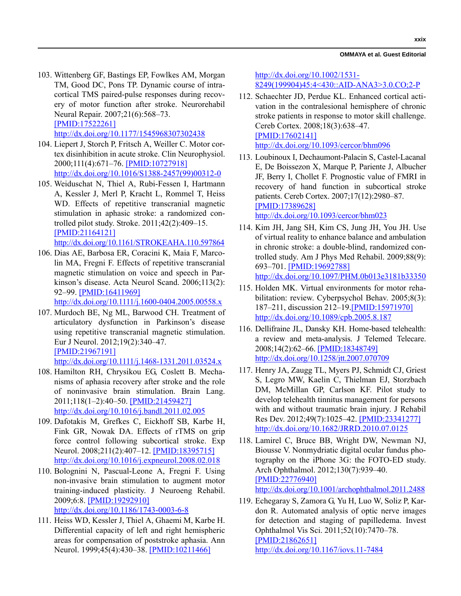#### **OMMAYA et al. Guest Editorial**

- 103. Wittenberg GF, Bastings EP, Fowlkes AM, Morgan TM, Good DC, Pons TP. Dynamic course of intracortical TMS paired-pulse responses during recovery of motor function after stroke. Neurorehabil Neural Repair. 2007;21(6):568–73. [\[PMID:17522261\]](http://www.ncbi.nlm.nih.gov/entrez/query.fcgi?cmd=Retrieve&db=PubMed&list_uids=17522261&dopt=Abstract) [h](http://www.ncbi.nlm.nih.gov/entrez/query.fcgi?cmd=Retrieve&db=PubMed&list_uids=17522261&dopt=Abstract)[ttp://dx.doi.org/10.1177/1545968307302438](http://dx.doi.org/10.1177/1545968307302438)
- 104. Liepert J, Storch P, Fritsch A, Weiller C. Motor cortex disinhibition in acute stroke. Clin Neurophysiol. 2000;111(4):671–76. [\[PMID:10727918\]](http://www.ncbi.nlm.nih.gov/entrez/query.fcgi?cmd=Retrieve&db=PubMed&list_uids=10727918&dopt=Abstract) [h](http://www.ncbi.nlm.nih.gov/entrez/query.fcgi?cmd=Retrieve&db=PubMed&list_uids=10727918&dopt=Abstract)[ttp://dx.doi.org/10.1016/S1388-2457\(99\)00312-0](http://dx.doi.org/10.1016/S1388-2457(99)00312-0)
- 105. Weiduschat N, Thiel A, Rubi-Fessen I, Hartmann A, Kessler J, Merl P, Kracht L, Rommel T, Heiss WD. Effects of repetitive transcranial magnetic stimulation in aphasic stroke: a randomized controlled pilot study. Stroke. 2011;42(2):409–15. [\[PMID:21164121\]](http://www.ncbi.nlm.nih.gov/entrez/query.fcgi?cmd=Retrieve&db=PubMed&list_uids=21164121&dopt=Abstract)

[h](http://www.ncbi.nlm.nih.gov/entrez/query.fcgi?cmd=Retrieve&db=PubMed&list_uids=21164121&dopt=Abstract)[ttp://dx.doi.org/10.1161/STROKEAHA.110.597864](http://dx.doi.org/10.1161/STROKEAHA.110.597864)

106. Dias AE, Barbosa ER, Coracini K, Maia F, Marcolin MA, Fregni F. Effects of repetitive transcranial magnetic stimulation on voice and speech in Parkinson's disease. Acta Neurol Scand. 2006;113(2): 92–99. [\[PMID:16411969\]](http://www.ncbi.nlm.nih.gov/entrez/query.fcgi?cmd=Retrieve&db=PubMed&list_uids=16411969&dopt=Abstract) [h](http://www.ncbi.nlm.nih.gov/entrez/query.fcgi?cmd=Retrieve&db=PubMed&list_uids=16411969&dopt=Abstract)[ttp://dx.doi.org/10.1111/j.1600-0404.2005.00558.x](http://dx.doi.org/10.1111/j.1600-0404.2005.00558.x)

- 107. Murdoch BE, Ng ML, Barwood CH. Treatment of articulatory dysfunction in Parkinson's disease using repetitive transcranial magnetic stimulation. Eur J Neurol. 2012;19(2):340–47. [\[PMID:21967191\]](http://www.ncbi.nlm.nih.gov/entrez/query.fcgi?cmd=Retrieve&db=PubMed&list_uids=21967191&dopt=Abstract) [h](http://www.ncbi.nlm.nih.gov/entrez/query.fcgi?cmd=Retrieve&db=PubMed&list_uids=21967191&dopt=Abstract)[ttp://dx.doi.org/10.1111/j.1468-1331.2011.03524.x](http://dx.doi.org/10.1111/j.1468-1331.2011.03524.x)
- 108. Hamilton RH, Chrysikou EG, Coslett B. Mechanisms of aphasia recovery after stroke and the role of noninvasive brain stimulation. Brain Lang. 2011;118(1–2):40–50. [\[PMID:21459427\]](http://www.ncbi.nlm.nih.gov/entrez/query.fcgi?cmd=Retrieve&db=PubMed&list_uids=21459427&dopt=Abstract) [h](http://www.ncbi.nlm.nih.gov/entrez/query.fcgi?cmd=Retrieve&db=PubMed&list_uids=21459427&dopt=Abstract)[ttp://dx.doi.org/10.1016/j.bandl.2011.02.005](http://dx.doi.org/10.1016/j.bandl.2011.02.005)
- 109. Dafotakis M, Grefkes C, Eickhoff SB, Karbe H, Fink GR, Nowak DA. Effects of rTMS on grip force control following subcortical stroke. Exp Neurol. 2008;211(2):407–12. [\[PMID:18395715\]](http://www.ncbi.nlm.nih.gov/entrez/query.fcgi?cmd=Retrieve&db=PubMed&list_uids=18395715&dopt=Abstract) [h](http://www.ncbi.nlm.nih.gov/entrez/query.fcgi?cmd=Retrieve&db=PubMed&list_uids=18395715&dopt=Abstract)[ttp://dx.doi.org/10.1016/j.expneurol.2008.02.018](http://dx.doi.org/10.1016/j.expneurol.2008.02.018)
- 110. Bolognini N, Pascual-Leone A, Fregni F. Using non-invasive brain stimulation to augment motor training-induced plasticity. J Neuroeng Rehabil. 2009;6:8. [\[PMID:19292910\]](http://www.ncbi.nlm.nih.gov/entrez/query.fcgi?cmd=Retrieve&db=PubMed&list_uids=19292910&dopt=Abstract) [h](http://www.ncbi.nlm.nih.gov/entrez/query.fcgi?cmd=Retrieve&db=PubMed&list_uids=19292910&dopt=Abstract)[ttp://dx.doi.org/10.1186/1743-0003-6-8](http://dx.doi.org/10.1186/1743-0003-6-8)
- 111. Heiss WD, Kessler J, Thiel A, Ghaemi M, Karbe H. Differential capacity of left and right hemispheric areas for compensation of poststroke aphasia. Ann Neurol. 1999;45(4):430-38. [\[PMID:10211466\]](http://www.ncbi.nlm.nih.gov/entrez/query.fcgi?cmd=Retrieve&db=PubMed&list_uids=10211466&dopt=Abstract)

[h](http://www.ncbi.nlm.nih.gov/entrez/query.fcgi?cmd=Retrieve&db=PubMed&list_uids=10211466&dopt=Abstract)[ttp://dx.doi.org/10.1002/1531-](http://dx.doi.org/10.1002/1531-8249(199904)45:4<430::AID-ANA3>3.0.CO;2-P) [8249\(199904\)45:4<430::AID-ANA3>3.0.CO;2-P](http://dx.doi.org/10.1002/1531-8249(199904)45:4<430::AID-ANA3>3.0.CO;2-P)

- 112. Schaechter JD, Perdue KL. Enhanced cortical activation in the contralesional hemisphere of chronic stroke patients in response to motor skill challenge. Cereb Cortex. 2008;18(3):638–47. [\[PMID:17602141\]](http://www.ncbi.nlm.nih.gov/entrez/query.fcgi?cmd=Retrieve&db=PubMed&list_uids=17602141&dopt=Abstract) [h](http://www.ncbi.nlm.nih.gov/entrez/query.fcgi?cmd=Retrieve&db=PubMed&list_uids=17602141&dopt=Abstract)[ttp://dx.doi.org/10.1093/cercor/bhm096](http://dx.doi.org/10.1093/cercor/bhm096)
- 113. Loubinoux I, Dechaumont-Palacin S, Castel-Lacanal E, De Boissezon X, Marque P, Pariente J, Albucher JF, Berry I, Chollet F. Prognostic value of FMRI in recovery of hand function in subcortical stroke patients. Cereb Cortex. 2007;17(12):2980–87. [\[PMID:17389628\]](http://www.ncbi.nlm.nih.gov/entrez/query.fcgi?cmd=Retrieve&db=PubMed&list_uids=17389628&dopt=Abstract) [h](http://www.ncbi.nlm.nih.gov/entrez/query.fcgi?cmd=Retrieve&db=PubMed&list_uids=17389628&dopt=Abstract)[ttp://dx.doi.org/10.1093/cercor/bhm023](http://dx.doi.org/10.1093/cercor/bhm023)
- 114. Kim JH, Jang SH, Kim CS, Jung JH, You JH. Use of virtual reality to enhance balance and ambulation in chronic stroke: a double-blind, randomized controlled study. Am J Phys Med Rehabil. 2009;88(9): 693–701. [\[PMID:19692788\]](http://www.ncbi.nlm.nih.gov/entrez/query.fcgi?cmd=Retrieve&db=PubMed&list_uids=19692788&dopt=Abstract) [h](http://www.ncbi.nlm.nih.gov/entrez/query.fcgi?cmd=Retrieve&db=PubMed&list_uids=19692788&dopt=Abstract)[ttp://dx.doi.org/10.1097/PHM.0b013e3181b33350](http://dx.doi.org/10.1097/PHM.0b013e3181b33350)
- 115. Holden MK. Virtual environments for motor rehabilitation: review. Cyberpsychol Behav. 2005;8(3): 187–211, discussion 212–19.[\[PMID:15971970\]](http://www.ncbi.nlm.nih.gov/entrez/query.fcgi?cmd=Retrieve&db=PubMed&list_uids=15971970&dopt=Abstract) [h](http://www.ncbi.nlm.nih.gov/entrez/query.fcgi?cmd=Retrieve&db=PubMed&list_uids=15971970&dopt=Abstract)[ttp://dx.doi.org/10.1089/cpb.2005.8.187](http://dx.doi.org/10.1089/cpb.2005.8.187)
- 116. Dellifraine JL, Dansky KH. Home-based telehealth: a review and meta-analysis. J Telemed Telecare. 2008;14(2):62–66. [\[PMID:18348749\]](http://www.ncbi.nlm.nih.gov/entrez/query.fcgi?cmd=Retrieve&db=PubMed&list_uids=18348749&dopt=Abstract) [h](http://www.ncbi.nlm.nih.gov/entrez/query.fcgi?cmd=Retrieve&db=PubMed&list_uids=18348749&dopt=Abstract)[ttp://dx.doi.org/10.1258/jtt.2007.070709](http://dx.doi.org/10.1258/jtt.2007.070709)
- 117. Henry JA, Zaugg TL, Myers PJ, Schmidt CJ, Griest S, Legro MW, Kaelin C, Thielman EJ, Storzbach DM, McMillan GP, Carlson KF. Pilot study to develop telehealth tinnitus management for persons with and without traumatic brain injury. J Rehabil Res Dev. 2012;49(7):1025–42. [\[PMID:23341277\]](http://www.ncbi.nlm.nih.gov/entrez/query.fcgi?cmd=Retrieve&db=PubMed&list_uids=23341277&dopt=Abstract) [h](http://www.ncbi.nlm.nih.gov/entrez/query.fcgi?cmd=Retrieve&db=PubMed&list_uids=23341277&dopt=Abstract)[ttp://dx.doi.org/10.1682/JRRD.2010.07.0125](http://dx.doi.org/10.1682/JRRD.2010.07.0125)
- 118. Lamirel C, Bruce BB, Wright DW, Newman NJ, Biousse V. Nonmydriatic digital ocular fundus photography on the iPhone 3G: the FOTO-ED study. Arch Ophthalmol. 2012;130(7):939–40. [\[PMID:22776940\]](http://www.ncbi.nlm.nih.gov/entrez/query.fcgi?cmd=Retrieve&db=PubMed&list_uids=22776940&dopt=Abstract)

[h](http://www.ncbi.nlm.nih.gov/entrez/query.fcgi?cmd=Retrieve&db=PubMed&list_uids=22776940&dopt=Abstract)[ttp://dx.doi.org/10.1001/archophthalmol.2011.2488](http://dx.doi.org/10.1001/archophthalmol.2011.2488)

119. Echegaray S, Zamora G, Yu H, Luo W, Soliz P, Kardon R. Automated analysis of optic nerve images for detection and staging of papilledema. Invest Ophthalmol Vis Sci. 2011;52(10):7470–78. [\[PMID:21862651\]](http://www.ncbi.nlm.nih.gov/entrez/query.fcgi?cmd=Retrieve&db=PubMed&list_uids=21862651&dopt=Abstract) [h](http://www.ncbi.nlm.nih.gov/entrez/query.fcgi?cmd=Retrieve&db=PubMed&list_uids=21862651&dopt=Abstract)[ttp://dx.doi.org/10.1167/iovs.11-7484](http://dx.doi.org/10.1167/iovs.11-7484)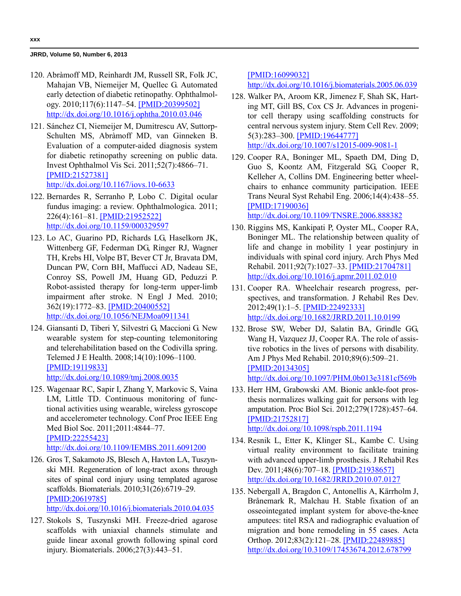- 120. Abràmoff MD, Reinhardt JM, Russell SR, Folk JC, Mahajan VB, Niemeijer M, Quellec G. Automated early detection of diabetic retinopathy. Ophthalmology. 2010;117(6):1147–54. [\[PMID:20399502\]](http://www.ncbi.nlm.nih.gov/entrez/query.fcgi?cmd=Retrieve&db=PubMed&list_uids=20399502&dopt=Abstract) [h](http://www.ncbi.nlm.nih.gov/entrez/query.fcgi?cmd=Retrieve&db=PubMed&list_uids=20399502&dopt=Abstract)[ttp://dx.doi.org/10.1016/j.ophtha.2010.03.046](http://dx.doi.org/10.1016/j.ophtha.2010.03.046)
- 121. Sánchez CI, Niemeijer M, Dumitrescu AV, Suttorp-Schulten MS, Abràmoff MD, van Ginneken B. Evaluation of a computer-aided diagnosis system for diabetic retinopathy screening on public data. Invest Ophthalmol Vis Sci. 2011;52(7):4866–71. [\[PMID:21527381\]](http://www.ncbi.nlm.nih.gov/entrez/query.fcgi?cmd=Retrieve&db=PubMed&list_uids=21527381&dopt=Abstract) [h](http://www.ncbi.nlm.nih.gov/entrez/query.fcgi?cmd=Retrieve&db=PubMed&list_uids=21527381&dopt=Abstract)[ttp://dx.doi.org/10.1167/iovs.10-6633](http://dx.doi.org/10.1167/iovs.10-6633)
- 122. Bernardes R, Serranho P, Lobo C. Digital ocular fundus imaging: a review. Ophthalmologica. 2011; 226(4):161–81. [\[PMID:21952522\]](http://www.ncbi.nlm.nih.gov/entrez/query.fcgi?cmd=Retrieve&db=PubMed&list_uids=21952522&dopt=Abstract) [h](http://www.ncbi.nlm.nih.gov/entrez/query.fcgi?cmd=Retrieve&db=PubMed&list_uids=21952522&dopt=Abstract)[ttp://dx.doi.org/10.1159/000329597](http://dx.doi.org/10.1159/000329597)
- 123. Lo AC, Guarino PD, Richards LG, Haselkorn JK, Wittenberg GF, Federman DG, Ringer RJ, Wagner TH, Krebs HI, Volpe BT, Bever CT Jr, Bravata DM, Duncan PW, Corn BH, Maffucci AD, Nadeau SE, Conroy SS, Powell JM, Huang GD, Peduzzi P. Robot-assisted therapy for long-term upper-limb impairment after stroke. N Engl J Med. 2010; 362(19):1772–83. [\[PMID:20400552\]](http://www.ncbi.nlm.nih.gov/entrez/query.fcgi?cmd=Retrieve&db=PubMed&list_uids=20400552&dopt=Abstract) [h](http://www.ncbi.nlm.nih.gov/entrez/query.fcgi?cmd=Retrieve&db=PubMed&list_uids=20400552&dopt=Abstract)[ttp://dx.doi.org/10.1056/NEJMoa0911341](http://dx.doi.org/10.1056/NEJMoa0911341)
- 124. Giansanti D, Tiberi Y, Silvestri G, Maccioni G. New wearable system for step-counting telemonitoring and telerehabilitation based on the Codivilla spring. Telemed J E Health. 2008;14(10):1096–1100. [\[PMID:19119833\]](http://www.ncbi.nlm.nih.gov/entrez/query.fcgi?cmd=Retrieve&db=PubMed&list_uids=19119833&dopt=Abstract) [h](http://www.ncbi.nlm.nih.gov/entrez/query.fcgi?cmd=Retrieve&db=PubMed&list_uids=19119833&dopt=Abstract)[ttp://dx.doi.org/10.1089/tmj.2008.0035](http://dx.doi.org/10.1089/tmj.2008.0035)
- 125. Wagenaar RC, Sapir I, Zhang Y, Markovic S, Vaina LM, Little TD. Continuous monitoring of functional activities using wearable, wireless gyroscope and accelerometer technology. Conf Proc IEEE Eng Med Biol Soc. 2011;2011:4844–77. [\[PMID:22255423\]](http://www.ncbi.nlm.nih.gov/pubmed/22255423) [h](http://www.ncbi.nlm.nih.gov/pubmed/22255423)[ttp://dx.doi.org/10.1109/IEMBS.2011.6091200](http://dx.doi.org/10.1109/IEMBS.2011.6091200)
- 126. Gros T, Sakamoto JS, Blesch A, Havton LA, Tuszynski MH. Regeneration of long-tract axons through sites of spinal cord injury using templated agarose scaffolds. Biomaterials. 2010;31(26):6719–29. [\[PMID:20619785\]](http://www.ncbi.nlm.nih.gov/entrez/query.fcgi?cmd=Retrieve&db=PubMed&list_uids=20619785&dopt=Abstract) [h](http://www.ncbi.nlm.nih.gov/entrez/query.fcgi?cmd=Retrieve&db=PubMed&list_uids=20619785&dopt=Abstract)[ttp://dx.doi.org/10.1016/j.biomaterials.2010.04.035](http://dx.doi.org/10.1016/j.biomaterials.2010.04.035)
- 127. Stokols S, Tuszynski MH. Freeze-dried agarose scaffolds with uniaxial channels stimulate and guide linear axonal growth following spinal cord injury. Biomaterials. 2006;27(3):443–51.

[\[PMID:16099032\]](http://www.ncbi.nlm.nih.gov/entrez/query.fcgi?cmd=Retrieve&db=PubMed&list_uids=16099032&dopt=Abstract)

[h](http://www.ncbi.nlm.nih.gov/entrez/query.fcgi?cmd=Retrieve&db=PubMed&list_uids=16099032&dopt=Abstract)[ttp://dx.doi.org/10.1016/j.biomaterials.2005.06.039](http://dx.doi.org/10.1016/j.biomaterials.2005.06.039)

- 128. Walker PA, Aroom KR, Jimenez F, Shah SK, Harting MT, Gill BS, Cox CS Jr. Advances in progenitor cell therapy using scaffolding constructs for central nervous system injury. Stem Cell Rev. 2009; 5(3):283–300. [\[PMID:19644777\]](http://www.ncbi.nlm.nih.gov/entrez/query.fcgi?cmd=Retrieve&db=PubMed&list_uids=19644777&dopt=Abstract) [h](http://www.ncbi.nlm.nih.gov/entrez/query.fcgi?cmd=Retrieve&db=PubMed&list_uids=19644777&dopt=Abstract)[ttp://dx.doi.org/10.1007/s12015-009-9081-1](http://dx.doi.org/10.1007/s12015-009-9081-1)
- 129. Cooper RA, Boninger ML, Spaeth DM, Ding D, Guo S, Koontz AM, Fitzgerald SG, Cooper R, Kelleher A, Collins DM. Engineering better wheelchairs to enhance community participation. IEEE Trans Neural Syst Rehabil Eng. 2006;14(4):438–55. [\[PMID:17190036\]](http://www.ncbi.nlm.nih.gov/entrez/query.fcgi?cmd=Retrieve&db=PubMed&list_uids=17190036&dopt=Abstract) [h](http://www.ncbi.nlm.nih.gov/entrez/query.fcgi?cmd=Retrieve&db=PubMed&list_uids=17190036&dopt=Abstract)[ttp://dx.doi.org/10.1109/TNSRE.2006.888382](http://dx.doi.org/10.1109/TNSRE.2006.888382)
- 130. Riggins MS, Kankipati P, Oyster ML, Cooper RA, Boninger ML. The relationship between quality of life and change in mobility 1 year postinjury in individuals with spinal cord injury. Arch Phys Med Rehabil. 2011;92(7):1027–33. [\[PMID:21704781\]](http://www.ncbi.nlm.nih.gov/entrez/query.fcgi?cmd=Retrieve&db=PubMed&list_uids=21704781&dopt=Abstract) [h](http://www.ncbi.nlm.nih.gov/entrez/query.fcgi?cmd=Retrieve&db=PubMed&list_uids=21704781&dopt=Abstract)[ttp://dx.doi.org/10.1016/j.apmr.2011.02.010](http://dx.doi.org/10.1016/j.apmr.2011.02.010)
- 131. Cooper RA. Wheelchair research progress, perspectives, and transformation. J Rehabil Res Dev. 2012;49(1):1–5. [\[PMID:22492333\]](http://www.ncbi.nlm.nih.gov/entrez/query.fcgi?cmd=Retrieve&db=PubMed&list_uids=22492333&dopt=Abstract) [h](http://www.ncbi.nlm.nih.gov/entrez/query.fcgi?cmd=Retrieve&db=PubMed&list_uids=22492333&dopt=Abstract)[ttp://dx.doi.org/10.1682/JRRD.2011.10.0199](http://dx.doi.org/10.1682/JRRD.2011.10.0199)
- 132. Brose SW, Weber DJ, Salatin BA, Grindle GG, Wang H, Vazquez JJ, Cooper RA. The role of assistive robotics in the lives of persons with disability. Am J Phys Med Rehabil. 2010;89(6):509–21. [\[PMID:20134305\]](http://www.ncbi.nlm.nih.gov/entrez/query.fcgi?cmd=Retrieve&db=PubMed&list_uids=20134305&dopt=Abstract) [h](http://www.ncbi.nlm.nih.gov/entrez/query.fcgi?cmd=Retrieve&db=PubMed&list_uids=20134305&dopt=Abstract)[ttp://dx.doi.org/10.1097/PHM.0b013e3181cf569b](http://dx.doi.org/10.1097/PHM.0b013e3181cf569b)
- 133. Herr HM, Grabowski AM. Bionic ankle-foot prosthesis normalizes walking gait for persons with leg amputation. Proc Biol Sci. 2012;279(1728):457–64. [\[PMID:21752817\]](http://www.ncbi.nlm.nih.gov/pubmed/21752817) [h](http://www.ncbi.nlm.nih.gov/pubmed/21752817)[ttp://dx.doi.org/10.1098/rspb.2011.1194](http://dx.doi.org/10.1098/rspb.2011.1194)
- 134. Resnik L, Etter K, Klinger SL, Kambe C. Using virtual reality environment to facilitate training with advanced upper-limb prosthesis. J Rehabil Res Dev. 2011;48(6):707–18. [\[PMID:21938657\]](http://www.ncbi.nlm.nih.gov/entrez/query.fcgi?cmd=Retrieve&db=PubMed&list_uids=21938657&dopt=Abstract) [h](http://www.ncbi.nlm.nih.gov/entrez/query.fcgi?cmd=Retrieve&db=PubMed&list_uids=21938657&dopt=Abstract)[ttp://dx.doi.org/10.1682/JRRD.2010.07.0127](http://dx.doi.org/10.1682/JRRD.2010.07.0127)
- 135. Nebergall A, Bragdon C, Antonellis A, Kärrholm J, Brånemark R, Malchau H. Stable fixation of an osseointegated implant system for above-the-knee amputees: titel RSA and radiographic evaluation of migration and bone remodeling in 55 cases. Acta Orthop. 2012;83(2):121–28. [\[PMID:22489885\]](http://www.ncbi.nlm.nih.gov/entrez/query.fcgi?cmd=Retrieve&db=PubMed&list_uids=22489885&dopt=Abstract) [h](http://www.ncbi.nlm.nih.gov/entrez/query.fcgi?cmd=Retrieve&db=PubMed&list_uids=22489885&dopt=Abstract)[ttp://dx.doi.org/10.3109/17453674.2012.678799](http://dx.doi.org/10.3109/17453674.2012.678799)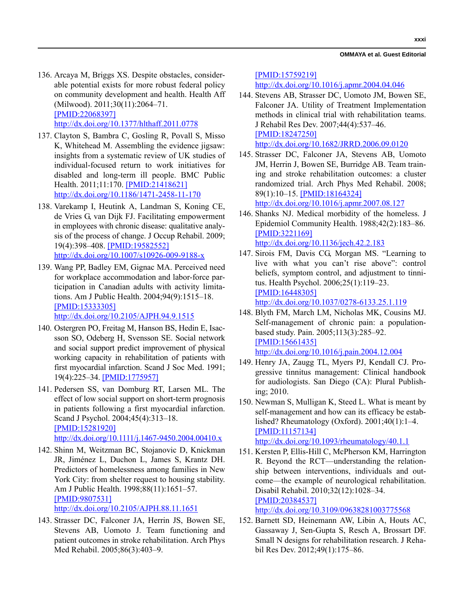**xxxi**

- 136. Arcaya M, Briggs XS. Despite obstacles, considerable potential exists for more robust federal policy on community development and health. Health Aff (Milwood). 2011;30(11):2064–71. [\[PMID:22068397\]](http://www.ncbi.nlm.nih.gov/entrez/query.fcgi?cmd=Retrieve&db=PubMed&list_uids=22068397&dopt=Abstract) [h](http://www.ncbi.nlm.nih.gov/entrez/query.fcgi?cmd=Retrieve&db=PubMed&list_uids=22068397&dopt=Abstract)[ttp://dx.doi.org/10.1377/hlthaff.2011.0778](http://dx.doi.org/10.1377/hlthaff.2011.0778)
- 137. Clayton S, Bambra C, Gosling R, Povall S, Misso K, Whitehead M. Assembling the evidence jigsaw: insights from a systematic review of UK studies of individual-focused return to work initiatives for disabled and long-term ill people. BMC Public Health. 2011;11:170. [\[PMID:21418621\]](http://www.ncbi.nlm.nih.gov/entrez/query.fcgi?cmd=Retrieve&db=PubMed&list_uids=21418621&dopt=Abstract) [h](http://www.ncbi.nlm.nih.gov/entrez/query.fcgi?cmd=Retrieve&db=PubMed&list_uids=21418621&dopt=Abstract)[ttp://dx.doi.org/10.1186/1471-2458-11-170](http://dx.doi.org/10.1186/1471-2458-11-170)
- 138. Varekamp I, Heutink A, Landman S, Koning CE, de Vries G, van Dijk FJ. Facilitating empowerment in employees with chronic disease: qualitative analysis of the process of change. J Occup Rehabil. 2009; 19(4):398–408. [\[PMID:19582552\]](http://www.ncbi.nlm.nih.gov/entrez/query.fcgi?cmd=Retrieve&db=PubMed&list_uids=19582552&dopt=Abstract) [h](http://www.ncbi.nlm.nih.gov/entrez/query.fcgi?cmd=Retrieve&db=PubMed&list_uids=19582552&dopt=Abstract)[ttp://dx.doi.org/10.1007/s10926-009-9188-x](http://dx.doi.org/10.1007/s10926-009-9188-x)
- 139. Wang PP, Badley EM, Gignac MA. Perceived need for workplace accommodation and labor-force participation in Canadian adults with activity limitations. Am J Public Health. 2004;94(9):1515–18. [\[PMID:15333305\]](http://www.ncbi.nlm.nih.gov/entrez/query.fcgi?cmd=Retrieve&db=PubMed&list_uids=15333305&dopt=Abstract) [h](http://www.ncbi.nlm.nih.gov/entrez/query.fcgi?cmd=Retrieve&db=PubMed&list_uids=15333305&dopt=Abstract)[ttp://dx.doi.org/10.2105/AJPH.94.9.1515](http://dx.doi.org/10.2105/AJPH.94.9.1515)
- 140. Ostergren PO, Freitag M, Hanson BS, Hedin E, Isacsson SO, Odeberg H, Svensson SE. Social network and social support predict improvement of physical working capacity in rehabilitation of patients with first myocardial infarction. Scand J Soc Med. 1991; 19(4):225–34. [\[PMID:1775957\]](http://www.ncbi.nlm.nih.gov/entrez/query.fcgi?cmd=Retrieve&db=PubMed&list_uids=1775957&dopt=Abstract)
- 141. Pedersen SS, van Domburg RT, Larsen ML. The effect of low social support on short-term prognosis in patients following a first myocardial infarction. Scand J Psychol. 2004;45(4):313–18. [\[PMID:15281920\]](http://www.ncbi.nlm.nih.gov/entrez/query.fcgi?cmd=Retrieve&db=PubMed&list_uids=15281920&dopt=Abstract) [h](http://www.ncbi.nlm.nih.gov/entrez/query.fcgi?cmd=Retrieve&db=PubMed&list_uids=15281920&dopt=Abstract)[ttp://dx.doi.org/10.1111/j.1467-9450.2004.00410.x](http://dx.doi.org/10.1111/j.1467-9450.2004.00410.x)
- 142. Shinn M, Weitzman BC, Stojanovic D, Knickman JR, Jiménez L, Duchon L, James S, Krantz DH. Predictors of homelessness among families in New York City: from shelter request to housing stability. Am J Public Health. 1998;88(11):1651–57. [\[PMID:9807531\]](http://www.ncbi.nlm.nih.gov/entrez/query.fcgi?cmd=Retrieve&db=PubMed&list_uids=9807531&dopt=Abstract) [h](http://www.ncbi.nlm.nih.gov/entrez/query.fcgi?cmd=Retrieve&db=PubMed&list_uids=9807531&dopt=Abstract)[ttp://dx.doi.org/10.2105/AJPH.88.11.1651](http://dx.doi.org/10.2105/AJPH.88.11.1651)
- 143. Strasser DC, Falconer JA, Herrin JS, Bowen SE, Stevens AB, Uomoto J. Team functioning and patient outcomes in stroke rehabilitation. Arch Phys Med Rehabil. 2005;86(3):403–9.

[\[PMID:15759219\]](http://www.ncbi.nlm.nih.gov/entrez/query.fcgi?cmd=Retrieve&db=PubMed&list_uids=15759219&dopt=Abstract)

[h](http://www.ncbi.nlm.nih.gov/entrez/query.fcgi?cmd=Retrieve&db=PubMed&list_uids=15759219&dopt=Abstract)[ttp://dx.doi.org/10.1016/j.apmr.2004.04.046](http://dx.doi.org/10.1016/j.apmr.2004.04.046)

- 144. Stevens AB, Strasser DC, Uomoto JM, Bowen SE, Falconer JA. Utility of Treatment Implementation methods in clinical trial with rehabilitation teams. J Rehabil Res Dev. 2007;44(4):537–46. [\[PMID:18247250\]](http://www.ncbi.nlm.nih.gov/entrez/query.fcgi?cmd=Retrieve&db=PubMed&list_uids=18247250&dopt=Abstract) [h](http://www.ncbi.nlm.nih.gov/entrez/query.fcgi?cmd=Retrieve&db=PubMed&list_uids=18247250&dopt=Abstract)[ttp://dx.doi.org/10.1682/JRRD.2006.09.0120](http://dx.doi.org/10.1682/JRRD.2006.09.0120)
- 145. Strasser DC, Falconer JA, Stevens AB, Uomoto JM, Herrin J, Bowen SE, Burridge AB. Team training and stroke rehabilitation outcomes: a cluster randomized trial. Arch Phys Med Rehabil. 2008; 89(1):10–15. [\[PMID:18164324\]](http://www.ncbi.nlm.nih.gov/entrez/query.fcgi?cmd=Retrieve&db=PubMed&list_uids=18164324&dopt=Abstract) [h](http://www.ncbi.nlm.nih.gov/entrez/query.fcgi?cmd=Retrieve&db=PubMed&list_uids=18164324&dopt=Abstract)[ttp://dx.doi.org/10.1016/j.apmr.2007.08.127](http://dx.doi.org/10.1016/j.apmr.2007.08.127)
- 146. Shanks NJ. Medical morbidity of the homeless. J Epidemiol Community Health. 1988;42(2):183–86. [\[PMID:3221169\]](http://www.ncbi.nlm.nih.gov/entrez/query.fcgi?cmd=Retrieve&db=PubMed&list_uids=3221169&dopt=Abstract) http://dx.doi.org/10.1136/jech.42.2.183
- 147. Sirois FM, Davis CG, Morgan MS. "Learning to live with what you can't rise above": control beliefs, symptom control, and adjustment to tinnitus. Health Psychol. 2006;25(1):119–23. [\[PMID:16448305\]](http://www.ncbi.nlm.nih.gov/entrez/query.fcgi?cmd=Retrieve&db=PubMed&list_uids=16448305&dopt=Abstract) http://dx.doi.org/10.1037/0278-6133.25.1.119
	-
- 148. Blyth FM, March LM, Nicholas MK, Cousins MJ. Self-management of chronic pain: a populationbased study. Pain. 2005;113(3):285–92. [\[PMID:15661435\]](http://www.ncbi.nlm.nih.gov/entrez/query.fcgi?cmd=Retrieve&db=PubMed&list_uids=15661435&dopt=Abstract) http://dx.doi.org/10.1016/j.pain.2004.12.004
- 149. Henry JA, Zaugg TL, Myers PJ, Kendall CJ. Progressive tinnitus management: Clinical handbook for audiologists. San Diego (CA): Plural Publishing; 2010.
- 150. Newman S, Mulligan K, Steed L. What is meant by self-management and how can its efficacy be established? Rheumatology (Oxford). 2001;40(1):1–4. [\[PMID:11157134\]](http://www.ncbi.nlm.nih.gov/entrez/query.fcgi?cmd=Retrieve&db=PubMed&list_uids=11157134&dopt=Abstract) [h](http://www.ncbi.nlm.nih.gov/entrez/query.fcgi?cmd=Retrieve&db=PubMed&list_uids=11157134&dopt=Abstract)[ttp://dx.doi.org/10.1093/rheumatology/40.1.1](http://dx.doi.org/10.1093/rheumatology/40.1.1)
- 151. Kersten P, Ellis-Hill C, McPherson KM, Harrington R. Beyond the RCT—understanding the relationship between interventions, individuals and outcome—the example of neurological rehabilitation. Disabil Rehabil. 2010;32(12):1028–34. [\[PMID:20384537\]](http://www.ncbi.nlm.nih.gov/entrez/query.fcgi?cmd=Retrieve&db=PubMed&list_uids=20384537&dopt=Abstract) [h](http://www.ncbi.nlm.nih.gov/entrez/query.fcgi?cmd=Retrieve&db=PubMed&list_uids=20384537&dopt=Abstract)[ttp://dx.doi.org/10.3109/09638281003775568](http://dx.doi.org/10.3109/09638281003775568)

152. Barnett SD, Heinemann AW, Libin A, Houts AC, Gassaway J, Sen-Gupta S, Resch A, Brossart DF. Small N designs for rehabilitation research. J Rehabil Res Dev. 2012;49(1):175–86.